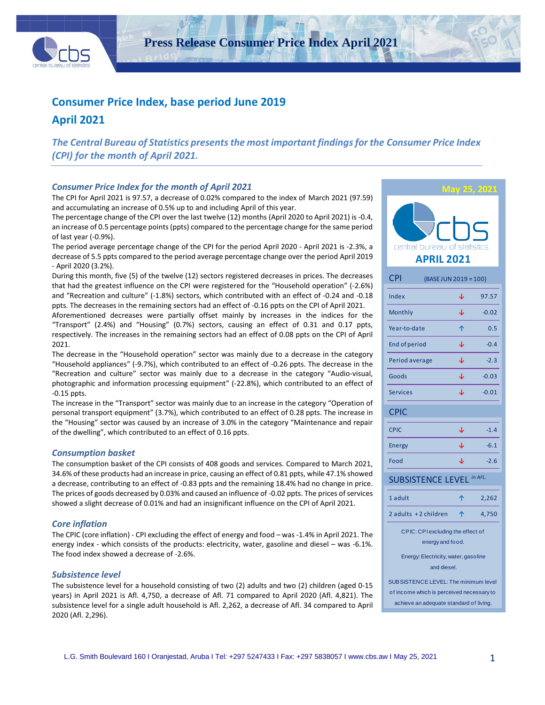

**Press Release Consumer Price Index April 2021**

## **Consumer Price Index, base period June 2019**

**April 2021**

*The Central Bureau of Statistics presents the most important findings for the Consumer Price Index (CPI) for the month of April 2021.*

### *Consumer Price Index for the month of April 2021*

The CPI for April 2021 is 97.57, a decrease of 0.02% compared to the index of March 2021 (97.59) and accumulating an increase of 0.5% up to and including April of this year.

The percentage change of the CPI over the last twelve (12) months (April 2020 to April 2021) is -0.4, an increase of 0.5 percentage points (ppts) compared to the percentage change for the same period of last year (-0.9%).

The period average percentage change of the CPI for the period April 2020 - April 2021 is -2.3%, a decrease of 5.5 ppts compared to the period average percentage change over the period April 2019 - April 2020 (3.2%).

During this month, five (5) of the twelve (12) sectors registered decreases in prices. The decreases that had the greatest influence on the CPI were registered for the "Household operation" (-2.6%) and "Recreation and culture" (-1.8%) sectors, which contributed with an effect of -0.24 and -0.18 ppts. The decreases in the remaining sectors had an effect of -0.16 ppts on the CPI of April 2021.

Aforementioned decreases were partially offset mainly by increases in the indices for the "Transport" (2.4%) and "Housing" (0.7%) sectors, causing an effect of 0.31 and 0.17 ppts, respectively. The increases in the remaining sectors had an effect of 0.08 ppts on the CPI of April 2021.

The decrease in the "Household operation" sector was mainly due to a decrease in the category "Household appliances" (-9.7%), which contributed to an effect of -0.26 ppts. The decrease in the "Recreation and culture" sector was mainly due to a decrease in the category "Audio-visual, photographic and information processing equipment" (-22.8%), which contributed to an effect of -0.15 ppts.

The increase in the "Transport" sector was mainly due to an increase in the category "Operation of personal transport equipment" (3.7%), which contributed to an effect of 0.28 ppts. The increase in the "Housing" sector was caused by an increase of 3.0% in the category "Maintenance and repair of the dwelling", which contributed to an effect of 0.16 ppts.

### *Consumption basket*

The consumption basket of the CPI consists of 408 goods and services. Compared to March 2021, 34.6% of these products had an increase in price, causing an effect of 0.81 ppts, while 47.1% showed a decrease, contributing to an effect of -0.83 ppts and the remaining 18.4% had no change in price. The prices of goods decreased by 0.03% and caused an influence of -0.02 ppts. The prices of services showed a slight decrease of 0.01% and had an insignificant influence on the CPI of April 2021.

### *Core inflation*

The CPIC (core inflation) - CPI excluding the effect of energy and food – was -1.4% in April 2021. The energy index - which consists of the products: electricity, water, gasoline and diesel – was -6.1%. The food index showed a decrease of -2.6%.

### *Subsistence level*

The subsistence level for a household consisting of two (2) adults and two (2) children (aged 0-15 years) in April 2021 is Afl. 4,750, a decrease of Afl. 71 compared to April 2020 (Afl. 4,821). The subsistence level for a single adult household is Afl. 2,262, a decrease of Afl. 34 compared to April 2020 (Afl. 2,296).



achieve an adequate standard of living.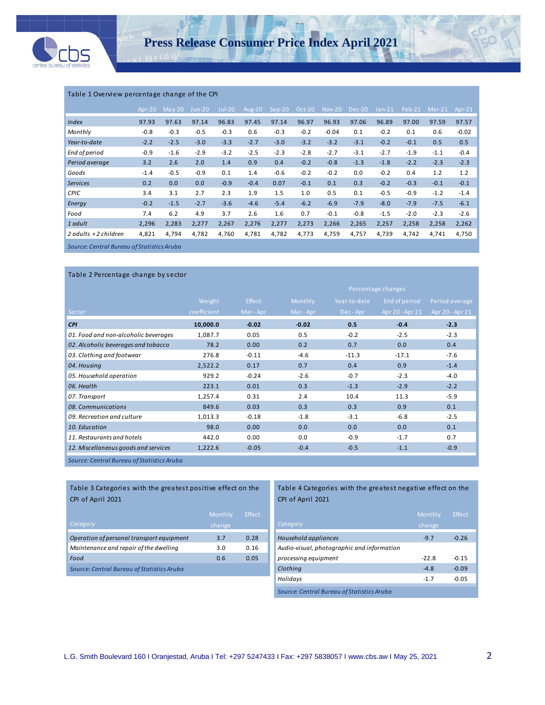

### Table 1 Overview percentage change of the CPI

|                                            | $Ar^{-20}$ | $Max-20$ | Jun-20 | $Jul-20$ | Aug-20 | $Sep-20$ | $Oct-20$ | <b>Nov-20</b> | Dec-20 | $Jan-21$ | $Feb-21$ | $Mar-21$ | Apr- $21$ |
|--------------------------------------------|------------|----------|--------|----------|--------|----------|----------|---------------|--------|----------|----------|----------|-----------|
| Index                                      | 97.93      | 97.63    | 97.14  | 96.83    | 97.45  | 97.14    | 96.97    | 96.93         | 97.06  | 96.89    | 97.00    | 97.59    | 97.57     |
| Monthly                                    | $-0.8$     | $-0.3$   | $-0.5$ | $-0.3$   | 0.6    | $-0.3$   | $-0.2$   | $-0.04$       | 0.1    | $-0.2$   | 0.1      | 0.6      | $-0.02$   |
| Year-to-date                               | $-2.2$     | $-2.5$   | $-3.0$ | $-3.3$   | $-2.7$ | $-3.0$   | $-3.2$   | $-3.2$        | $-3.1$ | $-0.2$   | $-0.1$   | 0.5      | 0.5       |
| End of period                              | $-0.9$     | $-1.6$   | $-2.9$ | $-3.2$   | $-2.5$ | $-2.3$   | $-2.8$   | $-2.7$        | $-3.1$ | $-2.7$   | $-1.9$   | $-1.1$   | $-0.4$    |
| Period average                             | 3.2        | 2.6      | 2.0    | 1.4      | 0.9    | 0.4      | $-0.2$   | $-0.8$        | $-1.3$ | $-1.8$   | $-2.2$   | $-2.3$   | $-2.3$    |
| Goods                                      | $-1.4$     | $-0.5$   | $-0.9$ | 0.1      | 1.4    | $-0.6$   | $-0.2$   | $-0.2$        | 0.0    | $-0.2$   | 0.4      | 1.2      | 1.2       |
| <b>Services</b>                            | 0.2        | 0.0      | 0.0    | $-0.9$   | $-0.4$ | 0.07     | $-0.1$   | 0.1           | 0.3    | $-0.2$   | $-0.3$   | $-0.1$   | $-0.1$    |
| <b>CPIC</b>                                | 3.4        | 3.1      | 2.7    | 2.3      | 1.9    | 1.5      | 1.0      | 0.5           | 0.1    | $-0.5$   | $-0.9$   | $-1.2$   | $-1.4$    |
| Energy                                     | $-0.2$     | $-1.5$   | $-2.7$ | $-3.6$   | $-4.6$ | $-5.4$   | $-6.2$   | $-6.9$        | $-7.9$ | $-8.0$   | $-7.9$   | $-7.5$   | $-6.1$    |
| Food                                       | 7.4        | 6.2      | 4.9    | 3.7      | 2.6    | 1.6      | 0.7      | $-0.1$        | $-0.8$ | $-1.5$   | $-2.0$   | $-2.3$   | $-2.6$    |
| 1 adult                                    | 2,296      | 2,283    | 2,277  | 2,267    | 2,276  | 2,277    | 2,273    | 2,266         | 2,265  | 2,257    | 2,258    | 2,258    | 2,262     |
| 2 adults $+2$ children                     | 4,821      | 4,794    | 4,782  | 4,760    | 4,781  | 4,782    | 4,773    | 4,759         | 4,757  | 4,739    | 4,742    | 4,741    | 4,750     |
| Source: Central Bureau of Statistics Aruba |            |          |        |          |        |          |          |               |        |          |          |          |           |

*Source: Central Bureau of Statistics Aruba*

| Table 2 Percentage change by sector  |             |         |         |                    |                 |                 |  |  |  |  |  |  |
|--------------------------------------|-------------|---------|---------|--------------------|-----------------|-----------------|--|--|--|--|--|--|
|                                      |             |         |         | Percentage changes |                 |                 |  |  |  |  |  |  |
|                                      | Weight      | Effect  | Monthly | Year-to-date       | End of period   | Period average  |  |  |  |  |  |  |
| Sector                               | coefficient | Mar-Apr | Mar-Apr | Dec-Apr            | Apr 20 - Apr 21 | Apr 20 - Apr 21 |  |  |  |  |  |  |
| <b>CPI</b>                           | 10,000.0    | $-0.02$ | $-0.02$ | 0.5                | $-0.4$          | $-2.3$          |  |  |  |  |  |  |
| 01. Food and non-alcoholic beverages | 1,087.7     | 0.05    | 0.5     | $-0.2$             | $-2.5$          | $-2.3$          |  |  |  |  |  |  |
| 02. Alcoholic beverages and tobacco  | 78.2        | 0.00    | 0.2     | 0.7                | 0.0             | 0.4             |  |  |  |  |  |  |
| 03. Clothing and footwear            | 276.8       | $-0.11$ | $-4.6$  | $-11.3$            | $-17.1$         | $-7.6$          |  |  |  |  |  |  |
| 04. Housing                          | 2,522.2     | 0.17    | 0.7     | 0.4                | 0.9             | $-1.4$          |  |  |  |  |  |  |
| 05. Household operation              | 929.2       | $-0.24$ | $-2.6$  | $-0.7$             | $-2.3$          | $-4.0$          |  |  |  |  |  |  |
| 06. Health                           | 223.1       | 0.01    | 0.3     | $-1.3$             | $-2.9$          | $-2.2$          |  |  |  |  |  |  |
| 07. Transport                        | 1,257.4     | 0.31    | 2.4     | 10.4               | 11.3            | $-5.9$          |  |  |  |  |  |  |
| 08. Communications                   | 849.6       | 0.03    | 0.3     | 0.3                | 0.9             | 0.1             |  |  |  |  |  |  |
| 09. Recreation and culture           | 1,013.3     | $-0.18$ | $-1.8$  | $-3.1$             | $-6.8$          | $-2.5$          |  |  |  |  |  |  |
| 10. Education                        | 98.0        | 0.00    | 0.0     | 0.0                | 0.0             | 0.1             |  |  |  |  |  |  |
| 11. Restaurants and hotels           | 442.0       | 0.00    | 0.0     | $-0.9$             | $-1.7$          | 0.7             |  |  |  |  |  |  |
| 12. Miscellaneous goods and services | 1,222.6     | $-0.05$ | $-0.4$  | $-0.5$             | $-1.1$          | $-0.9$          |  |  |  |  |  |  |
|                                      |             |         |         |                    |                 |                 |  |  |  |  |  |  |

*Source: Central Bureau of Statistics Aruba*

ļ

Table 3 Categories with the greatest positive effect on the CPI of April 2021

| Category                                   | Monthly,<br>change | Effect |
|--------------------------------------------|--------------------|--------|
| Operation of personal transport equipment  | 3.7                | 0.28   |
| Maintenance and repair of the dwelling     | 3.0                | 0.16   |
| Food                                       | 0.6                | 0.05   |
| Source: Central Bureau of Statistics Aruba |                    |        |

### Table 4 Categories with the greatest negative effect on the CPI of April 2021

|                                            | Monthly | Effect  |
|--------------------------------------------|---------|---------|
| Category                                   | change  |         |
| Household appliances                       | $-9.7$  | $-0.26$ |
| Audio-visual, photographic and information |         |         |
| processing equipment                       | $-22.8$ | $-0.15$ |
| Clothing                                   | $-4.8$  | $-0.09$ |
| Holidays                                   | $-1.7$  | $-0.05$ |
| Source: Central Bureau of Statistics Aruba |         |         |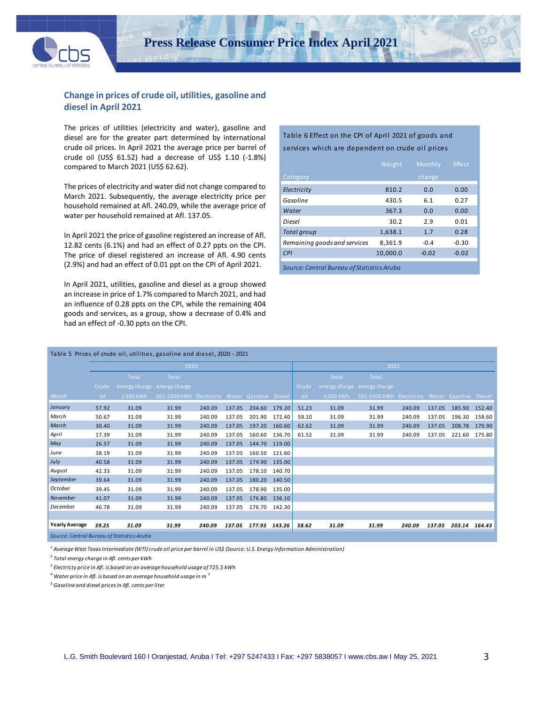

### **Change in prices of crude oil, utilities, gasoline and diesel in April 2021**

The prices of utilities (electricity and water), gasoline and diesel are for the greater part determined by international crude oil prices. In April 2021 the average price per barrel of crude oil (US\$ 61.52) had a decrease of US\$ 1.10 (-1.8%) compared to March 2021 (US\$ 62.62).

The prices of electricity and water did not change compared to March 2021. Subsequently, the average electricity price per household remained at Afl. 240.09, while the average price of water per household remained at Afl. 137.05.

In April 2021 the price of gasoline registered an increase of Afl. 12.82 cents (6.1%) and had an effect of 0.27 ppts on the CPI. The price of diesel registered an increase of Afl. 4.90 cents (2.9%) and had an effect of 0.01 ppt on the CPI of April 2021.

In April 2021, utilities, gasoline and diesel as a group showed an increase in price of 1.7% compared to March 2021, and had an influence of 0.28 ppts on the CPI, while the remaining 404 goods and services, as a group, show a decrease of 0.4% and had an effect of -0.30 ppts on the CPI*.*

### Table 6 Effect on the CPI of April 2021 of goods and services which are dependent on crude oil prices

|                                            | Weight   | Monthly | <b>Effect</b> |  |  |  |  |  |  |  |
|--------------------------------------------|----------|---------|---------------|--|--|--|--|--|--|--|
| Category                                   |          | change  |               |  |  |  |  |  |  |  |
| Electricity                                | 810.2    | 0.0     | 0.00          |  |  |  |  |  |  |  |
| Gasoline                                   | 430.5    | 6.1     | 0.27          |  |  |  |  |  |  |  |
| Water                                      | 367.3    | 0.0     | 0.00          |  |  |  |  |  |  |  |
| Diesel                                     | 30.2     | 2.9     | 0.01          |  |  |  |  |  |  |  |
| <b>Total group</b>                         | 1,638.1  | 1.7     | 0.28          |  |  |  |  |  |  |  |
| Remaining goods and services               | 8.361.9  | $-0.4$  | $-0.30$       |  |  |  |  |  |  |  |
| CPI                                        | 10.000.0 | $-0.02$ | $-0.02$       |  |  |  |  |  |  |  |
| Source: Central Bureau of Statistics Aruba |          |         |               |  |  |  |  |  |  |  |

|                                            | Table 5 Prices of crude oil, utilities, gasoline and diesel, 2020 - 2021 |                |                                                |        |        |               |        |       |                |                                                |        |        |               |               |  |
|--------------------------------------------|--------------------------------------------------------------------------|----------------|------------------------------------------------|--------|--------|---------------|--------|-------|----------------|------------------------------------------------|--------|--------|---------------|---------------|--|
|                                            |                                                                          |                | 2020                                           |        |        |               |        | 2021  |                |                                                |        |        |               |               |  |
|                                            |                                                                          | Total          | Total                                          |        |        |               |        |       | Total          | Total                                          |        |        |               |               |  |
|                                            | Crude                                                                    |                | energy charge energy charge                    |        |        |               |        | Crude | energy charge  | energy charge                                  |        |        |               |               |  |
| Month                                      | oil                                                                      | $\leq$ 500 kWh | 501-1000 kWh Electricity Water Gasoline Diesel |        |        |               |        | oil   | $\leq$ 500 kWh | 501-1000 kWh Electricity Water Gasoline Diesel |        |        |               |               |  |
| January                                    | 57.92                                                                    | 31.09          | 31.99                                          | 240.09 | 137.05 | 204.60 179.20 |        | 51.23 | 31.09          | 31.99                                          | 240.09 | 137.05 |               | 185.90 152.40 |  |
| March                                      | 50.67                                                                    | 31.09          | 31.99                                          | 240.09 | 137.05 | 201.90        | 172.40 | 59.10 | 31.09          | 31.99                                          | 240.09 | 137.05 | 196.30        | 158.60        |  |
| March                                      | 30.40                                                                    | 31.09          | 31.99                                          | 240.09 | 137.05 | 197.20        | 160.60 | 62.62 | 31.09          | 31.99                                          | 240.09 | 137.05 |               | 208.78 170.90 |  |
| April                                      | 17.39                                                                    | 31.09          | 31.99                                          | 240.09 | 137.05 | 160.60        | 136.70 | 61.52 | 31.09          | 31.99                                          | 240.09 | 137.05 | 221.60        | 175.80        |  |
| May                                        | 26.57                                                                    | 31.09          | 31.99                                          | 240.09 | 137.05 | 144.70 119.00 |        |       |                |                                                |        |        |               |               |  |
| June                                       | 38.19                                                                    | 31.09          | 31.99                                          | 240.09 | 137.05 | 160.50        | 121.60 |       |                |                                                |        |        |               |               |  |
| July                                       | 40.58                                                                    | 31.09          | 31.99                                          | 240.09 | 137.05 | 174.90        | 135.00 |       |                |                                                |        |        |               |               |  |
| August                                     | 42.33                                                                    | 31.09          | 31.99                                          | 240.09 | 137.05 | 178.10        | 140.70 |       |                |                                                |        |        |               |               |  |
| September                                  | 39.64                                                                    | 31.09          | 31.99                                          | 240.09 | 137.05 | 180.20        | 140.50 |       |                |                                                |        |        |               |               |  |
| October                                    | 39.45                                                                    | 31.09          | 31.99                                          | 240.09 | 137.05 | 178.90 135.00 |        |       |                |                                                |        |        |               |               |  |
| <b>November</b>                            | 41.07                                                                    | 31.09          | 31.99                                          | 240.09 | 137.05 | 176.80        | 136.10 |       |                |                                                |        |        |               |               |  |
| December                                   | 46.78                                                                    | 31.09          | 31.99                                          | 240.09 | 137.05 | 176.70        | 142.30 |       |                |                                                |        |        |               |               |  |
|                                            |                                                                          |                |                                                |        |        |               |        |       |                |                                                |        |        |               |               |  |
| <b>Yearly Average</b>                      | 39.25                                                                    | 31.09          | 31.99                                          | 240.09 | 137.05 | 177.93 143.26 |        | 58.62 | 31.09          | 31.99                                          | 240.09 | 137.05 | 203.14 164.43 |               |  |
| Source: Central Bureau of Statistics Aruba |                                                                          |                |                                                |        |        |               |        |       |                |                                                |        |        |               |               |  |

*<sup>1</sup> Average West Texas Intermediate (WTI) crude oil price per barrel in US\$ (Source: U.S. Energy Information Administration)*

*<sup>2</sup> Total energy charge in Afl. cents per kWh* 

*<sup>3</sup> Electricty price in Afl. is based on an average household usage of 725.5 kWh*

*<sup>4</sup> Water price in Afl. is based on an average household usage in m <sup>3</sup>*

*<sup>5</sup> Gasoline and diesel prices in Afl. cents per liter*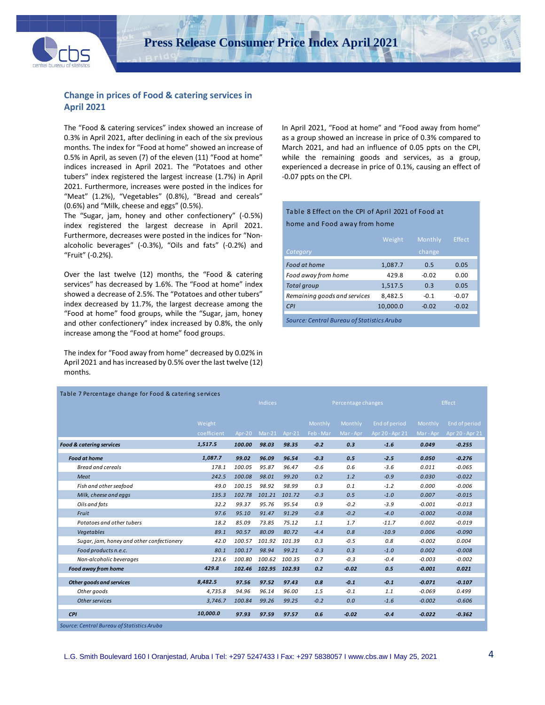

## **Change in prices of Food & catering services in April 2021**

The "Food & catering services" index showed an increase of 0.3% in April 2021, after declining in each of the six previous months. The index for "Food at home" showed an increase of 0.5% in April, as seven (7) of the eleven (11) "Food at home" indices increased in April 2021. The "Potatoes and other tubers" index registered the largest increase (1.7%) in April 2021. Furthermore, increases were posted in the indices for "Meat" (1.2%), "Vegetables" (0.8%), "Bread and cereals" (0.6%) and "Milk, cheese and eggs" (0.5%).

The "Sugar, jam, honey and other confectionery" (-0.5%) index registered the largest decrease in April 2021. Furthermore, decreases were posted in the indices for "Nonalcoholic beverages" (-0.3%), "Oils and fats" (-0.2%) and "Fruit" (-0.2%).

Over the last twelve (12) months, the "Food & catering services" has decreased by 1.6%. The "Food at home" index showed a decrease of 2.5%. The "Potatoes and other tubers" index decreased by 11.7%, the largest decrease among the "Food at home" food groups, while the "Sugar, jam, honey and other confectionery" index increased by 0.8%, the only increase among the "Food at home" food groups.

The index for "Food away from home" decreased by 0.02% in April 2021 and has increased by 0.5% over the last twelve (12) months.

In April 2021, "Food at home" and "Food away from home" as a group showed an increase in price of 0.3% compared to March 2021, and had an influence of 0.05 ppts on the CPI, while the remaining goods and services, as a group, experienced a decrease in price of 0.1%, causing an effect of -0.07 ppts on the CPI.

# Table 8 Effect on the CPI of April 2021 of Food at

home and Food away from home

|                                            | Weight   | Monthly | Effect  |
|--------------------------------------------|----------|---------|---------|
| Category                                   |          | change  |         |
| Food at home                               | 1,087.7  | 0.5     | 0.05    |
| Food away from home                        | 429.8    | $-0.02$ | 0.00    |
| <b>Total group</b>                         | 1,517.5  | 0.3     | 0.05    |
| Remaining goods and services               | 8,482.5  | $-0.1$  | $-0.07$ |
| CPI                                        | 10,000.0 | $-0.02$ | $-0.02$ |
| Source: Central Bureau of Statistics Aruba |          |         |         |

| Table 7 Percentage change for Food & catering services |             |        |                |        |         |                    |                 |           |                 |  |  |
|--------------------------------------------------------|-------------|--------|----------------|--------|---------|--------------------|-----------------|-----------|-----------------|--|--|
|                                                        |             |        | <b>Indices</b> |        |         | Percentage changes |                 |           | Effect          |  |  |
|                                                        |             |        |                |        |         |                    |                 |           |                 |  |  |
|                                                        | Weight      |        |                |        | Monthly | Monthly            | End of period   | Monthly   | End of period   |  |  |
|                                                        | coefficient | Apr-20 | $Mar-21$       | Apr-21 | Feb-Mar | Mar - Apr          | Apr 20 - Apr 21 | Mar - Apr | Apr 20 - Apr 21 |  |  |
| <b>Food &amp; catering services</b>                    | 1,517.5     | 100.00 | 98.03          | 98.35  | $-0.2$  | 0.3                | $-1.6$          | 0.049     | $-0.255$        |  |  |
| <b>Food at home</b>                                    | 1,087.7     | 99.02  | 96.09          | 96.54  | $-0.3$  | 0.5                | $-2.5$          | 0.050     | $-0.276$        |  |  |
| <b>Bread and cereals</b>                               | 178.1       | 100.05 | 95.87          | 96.47  | $-0.6$  | 0.6                | $-3.6$          | 0.011     | $-0.065$        |  |  |
| Meat                                                   | 242.5       | 100.08 | 98.01          | 99.20  | 0.2     | 1.2                | $-0.9$          | 0.030     | $-0.022$        |  |  |
| Fish and other seafood                                 | 49.0        | 100.15 | 98.92          | 98.99  | 0.3     | 0.1                | $-1.2$          | 0.000     | $-0.006$        |  |  |
| Milk, cheese and eggs                                  | 135.3       | 102.78 | 101.21         | 101.72 | $-0.3$  | 0.5                | $-1.0$          | 0.007     | $-0.015$        |  |  |
| Oils and fats                                          | 32.2        | 99.37  | 95.76          | 95.54  | 0.9     | $-0.2$             | $-3.9$          | $-0.001$  | $-0.013$        |  |  |
| Fruit                                                  | 97.6        | 95.10  | 91.47          | 91.29  | $-0.8$  | $-0.2$             | $-4.0$          | $-0.002$  | $-0.038$        |  |  |
| Potatoes and other tubers                              | 18.2        | 85.09  | 73.85          | 75.12  | 1.1     | 1.7                | $-11.7$         | 0.002     | $-0.019$        |  |  |
| Vegetables                                             | 89.1        | 90.57  | 80.09          | 80.72  | $-4.4$  | 0.8                | $-10.9$         | 0.006     | $-0.090$        |  |  |
| Sugar, jam, honey and other confectionery              | 42.0        | 100.57 | 101.92         | 101.39 | 0.3     | $-0.5$             | 0.8             | $-0.002$  | 0.004           |  |  |
| Food products n.e.c.                                   | 80.1        | 100.17 | 98.94          | 99.21  | $-0.3$  | 0.3                | $-1.0$          | 0.002     | $-0.008$        |  |  |
| Non-alcoholic beverages                                | 123.6       | 100.80 | 100.62         | 100.35 | 0.7     | $-0.3$             | $-0.4$          | $-0.003$  | $-0.002$        |  |  |
| Food away from home                                    | 429.8       | 102.46 | 102.95         | 102.93 | 0.2     | $-0.02$            | 0.5             | $-0.001$  | 0.021           |  |  |
| Other goods and services                               | 8,482.5     | 97.56  | 97.52          | 97.43  | 0.8     | $-0.1$             | $-0.1$          | $-0.071$  | $-0.107$        |  |  |
| Other goods                                            | 4,735.8     | 94.96  | 96.14          | 96.00  | 1.5     | $-0.1$             | 1.1             | $-0.069$  | 0.499           |  |  |
| Other services                                         | 3,746.7     | 100.84 | 99.26          | 99.25  | $-0.2$  | 0.0                | $-1.6$          | $-0.002$  | $-0.606$        |  |  |
| <b>CPI</b>                                             | 10,000.0    | 97.93  | 97.59          | 97.57  | 0.6     | $-0.02$            | $-0.4$          | $-0.022$  | $-0.362$        |  |  |
| Source: Central Bureau of Statistics Aruba             |             |        |                |        |         |                    |                 |           |                 |  |  |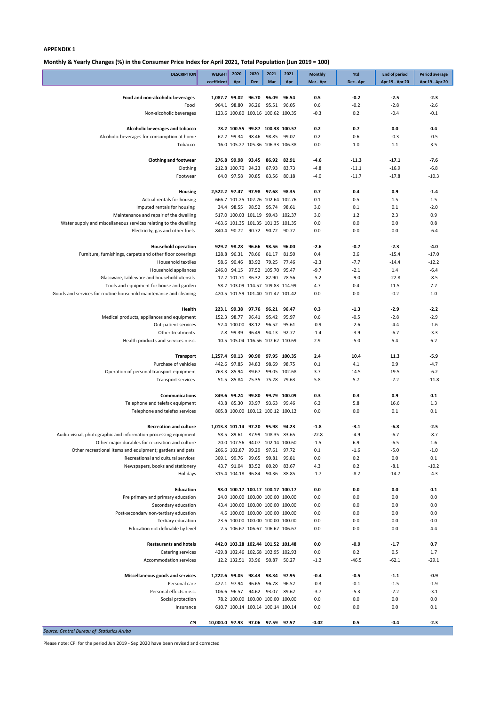**Monthly & Yearly Changes (%) in the Consumer Price Index for April 2021, Total Population (Jun 2019 = 100)**

| <b>DESCRIPTION</b>                                                                               | <b>WEIGHT</b>                    | 2020                        | 2020                                                                | 2021                 | 2021           | <b>Monthly</b>    | Ytd                | <b>End of period</b> | <b>Period average</b> |
|--------------------------------------------------------------------------------------------------|----------------------------------|-----------------------------|---------------------------------------------------------------------|----------------------|----------------|-------------------|--------------------|----------------------|-----------------------|
|                                                                                                  | coefficient                      | Apr                         | <b>Dec</b>                                                          | Mar                  | Apr            | Mar - Apr         | Dec - Apr          | Apr 19 - Apr 20      | Apr 19 - Apr 20       |
| Food and non-alcoholic beverages                                                                 | 1,087.7 99.02 96.70              |                             |                                                                     | 96.09                | 96.54          | 0.5               | $-0.2$             | $-2.5$               | $-2.3$                |
| Food                                                                                             |                                  | 964.1 98.80                 | 96.26                                                               |                      | 95.51 96.05    | 0.6               | $-0.2$             | $-2.8$               | $-2.6$                |
| Non-alcoholic beverages                                                                          |                                  |                             | 123.6 100.80 100.16 100.62 100.35                                   |                      |                | $-0.3$            | 0.2                | $-0.4$               | $-0.1$                |
| Alcoholic beverages and tobacco                                                                  |                                  |                             | 78.2 100.55 99.87 100.38 100.57                                     |                      |                | 0.2               | 0.7                | 0.0                  | 0.4                   |
| Alcoholic beverages for consumption at home                                                      |                                  | 62.2 99.34                  | 98.46                                                               |                      | 98.85 99.07    | 0.2               | 0.6                | $-0.3$               | $-0.5$                |
| Tobacco                                                                                          |                                  |                             | 16.0 105.27 105.36 106.33 106.38                                    |                      |                | 0.0               | 1.0                | 1.1                  | 3.5                   |
|                                                                                                  |                                  |                             |                                                                     |                      |                |                   |                    |                      |                       |
| <b>Clothing and footwear</b><br>Clothing                                                         | 276.8                            | 99.98<br>212.8 100.70 94.23 | 93.45                                                               | 86.92 82.91<br>87.93 | 83.73          | $-4.6$<br>$-4.8$  | $-11.3$<br>$-11.1$ | $-17.1$<br>$-16.9$   | $-7.6$<br>$-6.8$      |
| Footwear                                                                                         |                                  | 64.0 97.58                  | 90.85 83.56 80.18                                                   |                      |                | $-4.0$            | $-11.7$            | $-17.8$              | $-10.3$               |
|                                                                                                  |                                  |                             |                                                                     |                      |                |                   |                    |                      |                       |
| Housing                                                                                          | 2,522.2 97.47 97.98 97.68 98.35  |                             |                                                                     |                      |                | 0.7               | 0.4                | 0.9                  | $-1.4$                |
| Actual rentals for housing<br>Imputed rentals for housing                                        |                                  |                             | 666.7 101.25 102.26 102.64 102.76<br>34.4 98.55 98.52 95.74 98.61   |                      |                | 0.1<br>3.0        | 0.5<br>0.1         | 1.5<br>0.1           | 1.5<br>$-2.0$         |
| Maintenance and repair of the dwelling                                                           |                                  |                             | 517.0 100.03 101.19 99.43 102.37                                    |                      |                | 3.0               | 1.2                | 2.3                  | 0.9                   |
| Water supply and miscellaneous services relating to the dwelling                                 |                                  |                             | 463.6 101.35 101.35 101.35 101.35                                   |                      |                | 0.0               | 0.0                | 0.0                  | 0.8                   |
| Electricity, gas and other fuels                                                                 |                                  |                             | 840.4 90.72 90.72 90.72 90.72                                       |                      |                | 0.0               | 0.0                | 0.0                  | $-6.4$                |
|                                                                                                  |                                  |                             |                                                                     |                      |                |                   |                    |                      |                       |
| <b>Household operation</b><br>Furniture, furnishings, carpets and other floor coverings          | 128.8                            | 929.2 98.28<br>96.31        | 96.66<br>78.66                                                      | 98.56<br>81.17       | 96.00<br>81.50 | $-2.6$<br>0.4     | $-0.7$<br>3.6      | $-2.3$<br>$-15.4$    | $-4.0$<br>$-17.0$     |
| <b>Household textiles</b>                                                                        | 58.6                             | 90.46                       | 83.92                                                               | 79.25                | 77.46          | $-2.3$            | $-7.7$             | $-14.4$              | $-12.2$               |
| Household appliances                                                                             | 246.0                            | 94.15                       |                                                                     | 97.52 105.70 95.47   |                | $-9.7$            | $-2.1$             | 1.4                  | $-6.4$                |
| Glassware, tableware and household utensils                                                      |                                  |                             | 17.2 101.71 86.32 82.90 78.56                                       |                      |                | $-5.2$            | $-9.0$             | $-22.8$              | $-8.5$                |
| Tools and equipment for house and garden                                                         |                                  |                             | 58.2 103.09 114.57 109.83 114.99                                    |                      |                | 4.7               | 0.4                | 11.5                 | 7.7                   |
| Goods and services for routine household maintenance and cleaning                                |                                  |                             | 420.5 101.59 101.40 101.47 101.42                                   |                      |                | 0.0               | 0.0                | $-0.2$               | 1.0                   |
| Health                                                                                           |                                  | 223.1 99.38                 | 97.76                                                               | 96.21 96.47          |                | 0.3               | $-1.3$             | $-2.9$               | $-2.2$                |
| Medical products, appliances and equipment                                                       | 152.3                            | 98.77                       |                                                                     | 96.41 95.42 95.97    |                | 0.6               | $-0.5$             | $-2.8$               | $-2.9$                |
| Out-patient services                                                                             |                                  |                             | 52.4 100.00 98.12 96.52 95.61                                       |                      |                | $-0.9$            | $-2.6$             | $-4.4$               | $-1.6$                |
| Other treatments                                                                                 | 7.8                              | 99.39                       | 96.49                                                               | 94.13 92.77          |                | $-1.4$            | $-3.9$             | $-6.7$               | $-3.3$                |
| Health products and services n.e.c.                                                              |                                  |                             | 10.5 105.04 116.56 107.62 110.69                                    |                      |                | 2.9               | $-5.0$             | 5.4                  | 6.2                   |
| Transport                                                                                        | 1,257.4                          | 90.13                       | 90.90                                                               | 97.95                | 100.35         | 2.4               | 10.4               | 11.3                 | -5.9                  |
| Purchase of vehicles                                                                             |                                  | 442.6 97.85                 | 94.83                                                               | 98.69                | 98.75          | 0.1               | 4.1                | 0.9                  | $-4.7$                |
| Operation of personal transport equipment                                                        |                                  | 763.3 85.94                 | 89.67                                                               |                      | 99.05 102.68   | 3.7               | 14.5               | 19.5                 | $-6.2$                |
| <b>Transport services</b>                                                                        |                                  | 51.5 85.84                  |                                                                     | 75.35 75.28 79.63    |                | 5.8               | 5.7                | $-7.2$               | $-11.8$               |
| <b>Communications</b>                                                                            |                                  | 849.6 99.24                 | 99.80                                                               |                      | 99.79 100.09   | 0.3               | 0.3                | 0.9                  | 0.1                   |
| Telephone and telefax equipment                                                                  |                                  | 43.8 85.30                  |                                                                     | 93.97 93.63 99.46    |                | $6.2$             | 5.8                | 16.6                 | 1.3                   |
| Telephone and telefax services                                                                   |                                  |                             | 805.8 100.00 100.12 100.12 100.12                                   |                      |                | 0.0               | 0.0                | 0.1                  | 0.1                   |
|                                                                                                  |                                  |                             |                                                                     |                      |                |                   |                    |                      |                       |
| <b>Recreation and culture</b><br>Audio-visual, photographic and information processing equipment | 1,013.3 101.14 97.20             |                             | 58.5 89.61 87.99 108.35 83.65                                       | 95.98 94.23          |                | $-1.8$<br>$-22.8$ | $-3.1$<br>$-4.9$   | -6.8<br>$-6.7$       | $-2.5$<br>$-8.7$      |
| Other major durables for recreation and culture                                                  |                                  |                             | 20.0 107.56 94.07 102.14 100.60                                     |                      |                | $-1.5$            | 6.9                | $-6.5$               | 1.6                   |
| Other recreational items and equipment; gardens and pets                                         |                                  | 266.6 102.87 99.29          |                                                                     |                      | 97.61 97.72    | 0.1               | $-1.6$             | $-5.0$               | $-1.0$                |
| Recreational and cultural services                                                               |                                  | 309.1 99.76                 | 99.65                                                               | 99.81                | 99.81          | 0.0               | 0.2                | 0.0                  | 0.1                   |
| Newspapers, books and stationery                                                                 |                                  | 43.7 91.04                  | 83.52                                                               | 80.20                | 83.67          | 4.3               | 0.2                | $-8.1$               | $-10.2$               |
| Holidays                                                                                         |                                  |                             | 315.4 104.18 96.84                                                  |                      | 90.36 88.85    | $-1.7$            | $-8.2$             | $-14.7$              | $-4.3$                |
| Education                                                                                        |                                  |                             | 98.0 100.17 100.17 100.17 100.17                                    |                      |                | 0.0               | 0.0                | 0.0                  | 0.1                   |
| Pre primary and primary education                                                                |                                  |                             | 24.0 100.00 100.00 100.00 100.00                                    |                      |                | 0.0               | 0.0                | 0.0                  | 0.0                   |
| Secondary education                                                                              |                                  |                             | 43.4 100.00 100.00 100.00 100.00                                    |                      |                | 0.0               | 0.0                | 0.0                  | 0.0                   |
| Post-secondary non-tertiary education                                                            |                                  |                             | 4.6 100.00 100.00 100.00 100.00                                     |                      |                | 0.0               | 0.0                | 0.0                  | 0.0                   |
| Tertiary education<br>Education not definable by level                                           |                                  |                             | 23.6 100.00 100.00 100.00 100.00<br>2.5 106.67 106.67 106.67 106.67 |                      |                | 0.0<br>0.0        | 0.0<br>0.0         | 0.0<br>0.0           | 0.0<br>4.4            |
|                                                                                                  |                                  |                             |                                                                     |                      |                |                   |                    |                      |                       |
| <b>Restaurants and hotels</b>                                                                    |                                  |                             | 442.0 103.28 102.44 101.52 101.48                                   |                      |                | 0.0               | $-0.9$             | $-1.7$               | 0.7                   |
| Catering services                                                                                |                                  |                             | 429.8 102.46 102.68 102.95 102.93                                   |                      |                | 0.0               | 0.2                | 0.5                  | 1.7                   |
| Accommodation services                                                                           |                                  |                             | 12.2 132.51 93.96 50.87 50.27                                       |                      |                | $-1.2$            | $-46.5$            | $-62.1$              | $-29.1$               |
| Miscellaneous goods and services                                                                 | 1,222.6 99.05                    |                             | 98.43                                                               | 98.34                | 97.95          | $-0.4$            | $-0.5$             | $-1.1$               | $-0.9$                |
| Personal care                                                                                    |                                  | 427.1 97.94                 | 96.65                                                               | 96.78                | 96.52          | $-0.3$            | $-0.1$             | $-1.5$               | $-1.9$                |
| Personal effects n.e.c.                                                                          |                                  | 106.6 96.57                 |                                                                     | 94.62 93.07          | 89.62          | $-3.7$            | $-5.3$             | $-7.2$               | $-3.1$                |
| Social protection                                                                                |                                  |                             | 78.2 100.00 100.00 100.00 100.00                                    |                      |                | 0.0               | 0.0                | 0.0                  | 0.0                   |
| Insurance                                                                                        |                                  |                             | 610.7 100.14 100.14 100.14 100.14                                   |                      |                | 0.0               | 0.0                | 0.0                  | 0.1                   |
| CPI                                                                                              | 10,000.0 97.93 97.06 97.59 97.57 |                             |                                                                     |                      |                | $-0.02$           | 0.5                | $-0.4$               | $-2.3$                |

*Source: Central Bureau of Statistics Aruba*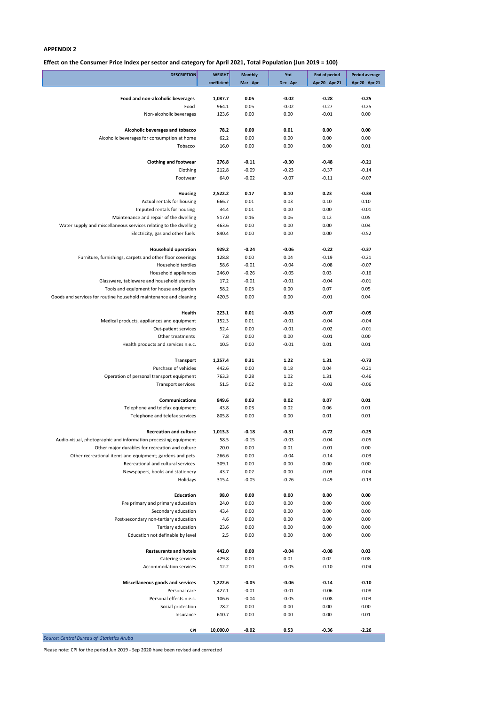**Effect on the Consumer Price Index per sector and category for April 2021, Total Population (Jun 2019 = 100)**

| coefficient<br>Mar - Apr<br>Dec - Apr<br>Apr 20 - Apr 21<br>Apr 20 - Apr 21<br>Food and non-alcoholic beverages<br>1,087.7<br>0.05<br>$-0.02$<br>$-0.28$<br>$-0.25$<br>964.1<br>0.05<br>$-0.02$<br>$-0.27$<br>$-0.25$<br>Food<br>Non-alcoholic beverages<br>123.6<br>0.00<br>0.00<br>$-0.01$<br>0.00<br>0.00<br>Alcoholic beverages and tobacco<br>78.2<br>0.00<br>0.01<br>0.00<br>0.00<br>0.00<br>0.00<br>Alcoholic beverages for consumption at home<br>62.2<br>0.00<br>0.00<br>0.00<br>0.00<br>Tobacco<br>16.0<br>0.01<br>$-0.21$<br><b>Clothing and footwear</b><br>276.8<br>$-0.11$<br>$-0.30$<br>$-0.48$<br>$-0.09$<br>Clothing<br>212.8<br>$-0.23$<br>$-0.37$<br>$-0.14$<br>$-0.02$<br>Footwear<br>64.0<br>$-0.07$<br>$-0.11$<br>$-0.07$<br>2,522.2<br>0.17<br>0.10<br>0.23<br>$-0.34$<br>Housing<br>666.7<br>0.10<br>Actual rentals for housing<br>0.01<br>0.03<br>0.10<br>Imputed rentals for housing<br>34.4<br>0.01<br>0.00<br>0.00<br>$-0.01$<br>0.05<br>Maintenance and repair of the dwelling<br>517.0<br>0.16<br>0.06<br>0.12<br>Water supply and miscellaneous services relating to the dwelling<br>0.00<br>0.00<br>0.04<br>463.6<br>0.00<br>0.00<br>0.00<br>Electricity, gas and other fuels<br>840.4<br>0.00<br>$-0.52$<br>929.2<br>$-0.24$<br>$-0.06$<br>$-0.22$<br>$-0.37$<br><b>Household operation</b><br>Furniture, furnishings, carpets and other floor coverings<br>128.8<br>0.00<br>0.04<br>$-0.19$<br>$-0.21$<br>$-0.01$<br>Household textiles<br>58.6<br>$-0.04$<br>$-0.08$<br>$-0.07$<br>Household appliances<br>246.0<br>$-0.26$<br>$-0.05$<br>0.03<br>$-0.16$<br>Glassware, tableware and household utensils<br>17.2<br>$-0.01$<br>$-0.01$<br>$-0.04$<br>$-0.01$<br>Tools and equipment for house and garden<br>58.2<br>0.03<br>0.00<br>0.07<br>0.05<br>0.04<br>Goods and services for routine household maintenance and cleaning<br>420.5<br>0.00<br>0.00<br>$-0.01$<br>Health<br>223.1<br>0.01<br>$-0.03$<br>$-0.07$<br>$-0.05$<br>Medical products, appliances and equipment<br>152.3<br>0.01<br>$-0.01$<br>$-0.04$<br>$-0.04$<br>52.4<br>0.00<br>$-0.01$<br>$-0.02$<br>$-0.01$<br>Out-patient services<br>7.8<br>0.00<br>0.00<br>$-0.01$<br>0.00<br>Other treatments<br>Health products and services n.e.c.<br>10.5<br>0.00<br>$-0.01$<br>0.01<br>0.01<br>1,257.4<br>1.31<br>-0.73<br>Transport<br>0.31<br>1.22<br>Purchase of vehicles<br>442.6<br>0.00<br>0.18<br>0.04<br>$-0.21$<br>Operation of personal transport equipment<br>763.3<br>0.28<br>1.02<br>1.31<br>$-0.46$<br>0.02<br>0.02<br>$-0.03$<br>$-0.06$<br>51.5<br><b>Transport services</b><br><b>Communications</b><br>849.6<br>0.03<br>0.02<br>0.07<br>0.01<br>0.06<br>0.01<br>Telephone and telefax equipment<br>43.8<br>0.03<br>0.02<br>Telephone and telefax services<br>805.8<br>0.00<br>0.00<br>0.01<br>0.01<br>$-0.25$<br><b>Recreation and culture</b><br>1,013.3<br>$-0.18$<br>$-0.31$<br>$-0.72$<br>$-0.04$<br>Audio-visual, photographic and information processing equipment<br>58.5<br>$-0.15$<br>$-0.03$<br>$-0.05$<br>0.00<br>0.01<br>$-0.01$<br>0.00<br>Other major durables for recreation and culture<br>20.0<br>0.00<br>Other recreational items and equipment; gardens and pets<br>266.6<br>$-0.04$<br>$-0.14$<br>$-0.03$<br>Recreational and cultural services<br>0.00<br>0.00<br>0.00<br>309.1<br>0.00<br>0.02<br>Newspapers, books and stationery<br>43.7<br>0.00<br>$-0.03$<br>$-0.04$<br>$-0.05$<br>Holidays<br>315.4<br>$-0.26$<br>$-0.49$<br>$-0.13$<br><b>Education</b><br>98.0<br>0.00<br>0.00<br>0.00<br>0.00<br>0.00<br>0.00<br>Pre primary and primary education<br>24.0<br>0.00<br>0.00<br>0.00<br>0.00<br>Secondary education<br>43.4<br>0.00<br>0.00<br>0.00<br>0.00<br>0.00<br>Post-secondary non-tertiary education<br>4.6<br>0.00<br>0.00<br>0.00<br>0.00<br>Tertiary education<br>23.6<br>0.00<br>Education not definable by level<br>2.5<br>0.00<br>0.00<br>0.00<br>0.00<br><b>Restaurants and hotels</b><br>442.0<br>0.00<br>$-0.08$<br>0.03<br>$-0.04$<br>0.02<br>429.8<br>0.00<br>0.01<br>0.08<br>Catering services<br><b>Accommodation services</b><br>12.2<br>0.00<br>$-0.05$<br>$-0.10$<br>$-0.04$<br>Miscellaneous goods and services<br>$-0.05$<br>$-0.06$<br>$-0.14$<br>$-0.10$<br>1,222.6<br>$-0.01$<br>Personal care<br>427.1<br>$-0.01$<br>$-0.06$<br>$-0.08$<br>Personal effects n.e.c.<br>106.6<br>$-0.04$<br>$-0.05$<br>$-0.08$<br>$-0.03$<br>0.00<br>Social protection<br>78.2<br>0.00<br>0.00<br>0.00<br>0.00<br>610.7<br>0.00<br>0.00<br>0.01<br>Insurance<br>$-0.02$<br>$-2.26$<br>10,000.0<br>0.53<br>$-0.36$<br><b>CPI</b><br>Source: Central Bureau of Statistics Aruba | <b>DESCRIPTION</b> | <b>WEIGHT</b> | <b>Monthly</b> | Ytd | <b>End of period</b> | <b>Period average</b> |
|---------------------------------------------------------------------------------------------------------------------------------------------------------------------------------------------------------------------------------------------------------------------------------------------------------------------------------------------------------------------------------------------------------------------------------------------------------------------------------------------------------------------------------------------------------------------------------------------------------------------------------------------------------------------------------------------------------------------------------------------------------------------------------------------------------------------------------------------------------------------------------------------------------------------------------------------------------------------------------------------------------------------------------------------------------------------------------------------------------------------------------------------------------------------------------------------------------------------------------------------------------------------------------------------------------------------------------------------------------------------------------------------------------------------------------------------------------------------------------------------------------------------------------------------------------------------------------------------------------------------------------------------------------------------------------------------------------------------------------------------------------------------------------------------------------------------------------------------------------------------------------------------------------------------------------------------------------------------------------------------------------------------------------------------------------------------------------------------------------------------------------------------------------------------------------------------------------------------------------------------------------------------------------------------------------------------------------------------------------------------------------------------------------------------------------------------------------------------------------------------------------------------------------------------------------------------------------------------------------------------------------------------------------------------------------------------------------------------------------------------------------------------------------------------------------------------------------------------------------------------------------------------------------------------------------------------------------------------------------------------------------------------------------------------------------------------------------------------------------------------------------------------------------------------------------------------------------------------------------------------------------------------------------------------------------------------------------------------------------------------------------------------------------------------------------------------------------------------------------------------------------------------------------------------------------------------------------------------------------------------------------------------------------------------------------------------------------------------------------------------------------------------------------------------------------------------------------------------------------------------------------------------------------------------------------------------------------------------------------------------------------------------------------------------------------------------------------------------------------------------------------------------------------------------------------------------------------------------------------------------------------------------------------------------------------------------------------------------------------------------------------------------------------------------------------------------------------------------------------------------------------------------------------------------------------------------------------------------------------------------------------------|--------------------|---------------|----------------|-----|----------------------|-----------------------|
|                                                                                                                                                                                                                                                                                                                                                                                                                                                                                                                                                                                                                                                                                                                                                                                                                                                                                                                                                                                                                                                                                                                                                                                                                                                                                                                                                                                                                                                                                                                                                                                                                                                                                                                                                                                                                                                                                                                                                                                                                                                                                                                                                                                                                                                                                                                                                                                                                                                                                                                                                                                                                                                                                                                                                                                                                                                                                                                                                                                                                                                                                                                                                                                                                                                                                                                                                                                                                                                                                                                                                                                                                                                                                                                                                                                                                                                                                                                                                                                                                                                                                                                                                                                                                                                                                                                                                                                                                                                                                                                                                                                                                                       |                    |               |                |     |                      |                       |
|                                                                                                                                                                                                                                                                                                                                                                                                                                                                                                                                                                                                                                                                                                                                                                                                                                                                                                                                                                                                                                                                                                                                                                                                                                                                                                                                                                                                                                                                                                                                                                                                                                                                                                                                                                                                                                                                                                                                                                                                                                                                                                                                                                                                                                                                                                                                                                                                                                                                                                                                                                                                                                                                                                                                                                                                                                                                                                                                                                                                                                                                                                                                                                                                                                                                                                                                                                                                                                                                                                                                                                                                                                                                                                                                                                                                                                                                                                                                                                                                                                                                                                                                                                                                                                                                                                                                                                                                                                                                                                                                                                                                                                       |                    |               |                |     |                      |                       |
|                                                                                                                                                                                                                                                                                                                                                                                                                                                                                                                                                                                                                                                                                                                                                                                                                                                                                                                                                                                                                                                                                                                                                                                                                                                                                                                                                                                                                                                                                                                                                                                                                                                                                                                                                                                                                                                                                                                                                                                                                                                                                                                                                                                                                                                                                                                                                                                                                                                                                                                                                                                                                                                                                                                                                                                                                                                                                                                                                                                                                                                                                                                                                                                                                                                                                                                                                                                                                                                                                                                                                                                                                                                                                                                                                                                                                                                                                                                                                                                                                                                                                                                                                                                                                                                                                                                                                                                                                                                                                                                                                                                                                                       |                    |               |                |     |                      |                       |
|                                                                                                                                                                                                                                                                                                                                                                                                                                                                                                                                                                                                                                                                                                                                                                                                                                                                                                                                                                                                                                                                                                                                                                                                                                                                                                                                                                                                                                                                                                                                                                                                                                                                                                                                                                                                                                                                                                                                                                                                                                                                                                                                                                                                                                                                                                                                                                                                                                                                                                                                                                                                                                                                                                                                                                                                                                                                                                                                                                                                                                                                                                                                                                                                                                                                                                                                                                                                                                                                                                                                                                                                                                                                                                                                                                                                                                                                                                                                                                                                                                                                                                                                                                                                                                                                                                                                                                                                                                                                                                                                                                                                                                       |                    |               |                |     |                      |                       |
|                                                                                                                                                                                                                                                                                                                                                                                                                                                                                                                                                                                                                                                                                                                                                                                                                                                                                                                                                                                                                                                                                                                                                                                                                                                                                                                                                                                                                                                                                                                                                                                                                                                                                                                                                                                                                                                                                                                                                                                                                                                                                                                                                                                                                                                                                                                                                                                                                                                                                                                                                                                                                                                                                                                                                                                                                                                                                                                                                                                                                                                                                                                                                                                                                                                                                                                                                                                                                                                                                                                                                                                                                                                                                                                                                                                                                                                                                                                                                                                                                                                                                                                                                                                                                                                                                                                                                                                                                                                                                                                                                                                                                                       |                    |               |                |     |                      |                       |
|                                                                                                                                                                                                                                                                                                                                                                                                                                                                                                                                                                                                                                                                                                                                                                                                                                                                                                                                                                                                                                                                                                                                                                                                                                                                                                                                                                                                                                                                                                                                                                                                                                                                                                                                                                                                                                                                                                                                                                                                                                                                                                                                                                                                                                                                                                                                                                                                                                                                                                                                                                                                                                                                                                                                                                                                                                                                                                                                                                                                                                                                                                                                                                                                                                                                                                                                                                                                                                                                                                                                                                                                                                                                                                                                                                                                                                                                                                                                                                                                                                                                                                                                                                                                                                                                                                                                                                                                                                                                                                                                                                                                                                       |                    |               |                |     |                      |                       |
|                                                                                                                                                                                                                                                                                                                                                                                                                                                                                                                                                                                                                                                                                                                                                                                                                                                                                                                                                                                                                                                                                                                                                                                                                                                                                                                                                                                                                                                                                                                                                                                                                                                                                                                                                                                                                                                                                                                                                                                                                                                                                                                                                                                                                                                                                                                                                                                                                                                                                                                                                                                                                                                                                                                                                                                                                                                                                                                                                                                                                                                                                                                                                                                                                                                                                                                                                                                                                                                                                                                                                                                                                                                                                                                                                                                                                                                                                                                                                                                                                                                                                                                                                                                                                                                                                                                                                                                                                                                                                                                                                                                                                                       |                    |               |                |     |                      |                       |
|                                                                                                                                                                                                                                                                                                                                                                                                                                                                                                                                                                                                                                                                                                                                                                                                                                                                                                                                                                                                                                                                                                                                                                                                                                                                                                                                                                                                                                                                                                                                                                                                                                                                                                                                                                                                                                                                                                                                                                                                                                                                                                                                                                                                                                                                                                                                                                                                                                                                                                                                                                                                                                                                                                                                                                                                                                                                                                                                                                                                                                                                                                                                                                                                                                                                                                                                                                                                                                                                                                                                                                                                                                                                                                                                                                                                                                                                                                                                                                                                                                                                                                                                                                                                                                                                                                                                                                                                                                                                                                                                                                                                                                       |                    |               |                |     |                      |                       |
|                                                                                                                                                                                                                                                                                                                                                                                                                                                                                                                                                                                                                                                                                                                                                                                                                                                                                                                                                                                                                                                                                                                                                                                                                                                                                                                                                                                                                                                                                                                                                                                                                                                                                                                                                                                                                                                                                                                                                                                                                                                                                                                                                                                                                                                                                                                                                                                                                                                                                                                                                                                                                                                                                                                                                                                                                                                                                                                                                                                                                                                                                                                                                                                                                                                                                                                                                                                                                                                                                                                                                                                                                                                                                                                                                                                                                                                                                                                                                                                                                                                                                                                                                                                                                                                                                                                                                                                                                                                                                                                                                                                                                                       |                    |               |                |     |                      |                       |
|                                                                                                                                                                                                                                                                                                                                                                                                                                                                                                                                                                                                                                                                                                                                                                                                                                                                                                                                                                                                                                                                                                                                                                                                                                                                                                                                                                                                                                                                                                                                                                                                                                                                                                                                                                                                                                                                                                                                                                                                                                                                                                                                                                                                                                                                                                                                                                                                                                                                                                                                                                                                                                                                                                                                                                                                                                                                                                                                                                                                                                                                                                                                                                                                                                                                                                                                                                                                                                                                                                                                                                                                                                                                                                                                                                                                                                                                                                                                                                                                                                                                                                                                                                                                                                                                                                                                                                                                                                                                                                                                                                                                                                       |                    |               |                |     |                      |                       |
|                                                                                                                                                                                                                                                                                                                                                                                                                                                                                                                                                                                                                                                                                                                                                                                                                                                                                                                                                                                                                                                                                                                                                                                                                                                                                                                                                                                                                                                                                                                                                                                                                                                                                                                                                                                                                                                                                                                                                                                                                                                                                                                                                                                                                                                                                                                                                                                                                                                                                                                                                                                                                                                                                                                                                                                                                                                                                                                                                                                                                                                                                                                                                                                                                                                                                                                                                                                                                                                                                                                                                                                                                                                                                                                                                                                                                                                                                                                                                                                                                                                                                                                                                                                                                                                                                                                                                                                                                                                                                                                                                                                                                                       |                    |               |                |     |                      |                       |
|                                                                                                                                                                                                                                                                                                                                                                                                                                                                                                                                                                                                                                                                                                                                                                                                                                                                                                                                                                                                                                                                                                                                                                                                                                                                                                                                                                                                                                                                                                                                                                                                                                                                                                                                                                                                                                                                                                                                                                                                                                                                                                                                                                                                                                                                                                                                                                                                                                                                                                                                                                                                                                                                                                                                                                                                                                                                                                                                                                                                                                                                                                                                                                                                                                                                                                                                                                                                                                                                                                                                                                                                                                                                                                                                                                                                                                                                                                                                                                                                                                                                                                                                                                                                                                                                                                                                                                                                                                                                                                                                                                                                                                       |                    |               |                |     |                      |                       |
|                                                                                                                                                                                                                                                                                                                                                                                                                                                                                                                                                                                                                                                                                                                                                                                                                                                                                                                                                                                                                                                                                                                                                                                                                                                                                                                                                                                                                                                                                                                                                                                                                                                                                                                                                                                                                                                                                                                                                                                                                                                                                                                                                                                                                                                                                                                                                                                                                                                                                                                                                                                                                                                                                                                                                                                                                                                                                                                                                                                                                                                                                                                                                                                                                                                                                                                                                                                                                                                                                                                                                                                                                                                                                                                                                                                                                                                                                                                                                                                                                                                                                                                                                                                                                                                                                                                                                                                                                                                                                                                                                                                                                                       |                    |               |                |     |                      |                       |
|                                                                                                                                                                                                                                                                                                                                                                                                                                                                                                                                                                                                                                                                                                                                                                                                                                                                                                                                                                                                                                                                                                                                                                                                                                                                                                                                                                                                                                                                                                                                                                                                                                                                                                                                                                                                                                                                                                                                                                                                                                                                                                                                                                                                                                                                                                                                                                                                                                                                                                                                                                                                                                                                                                                                                                                                                                                                                                                                                                                                                                                                                                                                                                                                                                                                                                                                                                                                                                                                                                                                                                                                                                                                                                                                                                                                                                                                                                                                                                                                                                                                                                                                                                                                                                                                                                                                                                                                                                                                                                                                                                                                                                       |                    |               |                |     |                      |                       |
|                                                                                                                                                                                                                                                                                                                                                                                                                                                                                                                                                                                                                                                                                                                                                                                                                                                                                                                                                                                                                                                                                                                                                                                                                                                                                                                                                                                                                                                                                                                                                                                                                                                                                                                                                                                                                                                                                                                                                                                                                                                                                                                                                                                                                                                                                                                                                                                                                                                                                                                                                                                                                                                                                                                                                                                                                                                                                                                                                                                                                                                                                                                                                                                                                                                                                                                                                                                                                                                                                                                                                                                                                                                                                                                                                                                                                                                                                                                                                                                                                                                                                                                                                                                                                                                                                                                                                                                                                                                                                                                                                                                                                                       |                    |               |                |     |                      |                       |
|                                                                                                                                                                                                                                                                                                                                                                                                                                                                                                                                                                                                                                                                                                                                                                                                                                                                                                                                                                                                                                                                                                                                                                                                                                                                                                                                                                                                                                                                                                                                                                                                                                                                                                                                                                                                                                                                                                                                                                                                                                                                                                                                                                                                                                                                                                                                                                                                                                                                                                                                                                                                                                                                                                                                                                                                                                                                                                                                                                                                                                                                                                                                                                                                                                                                                                                                                                                                                                                                                                                                                                                                                                                                                                                                                                                                                                                                                                                                                                                                                                                                                                                                                                                                                                                                                                                                                                                                                                                                                                                                                                                                                                       |                    |               |                |     |                      |                       |
|                                                                                                                                                                                                                                                                                                                                                                                                                                                                                                                                                                                                                                                                                                                                                                                                                                                                                                                                                                                                                                                                                                                                                                                                                                                                                                                                                                                                                                                                                                                                                                                                                                                                                                                                                                                                                                                                                                                                                                                                                                                                                                                                                                                                                                                                                                                                                                                                                                                                                                                                                                                                                                                                                                                                                                                                                                                                                                                                                                                                                                                                                                                                                                                                                                                                                                                                                                                                                                                                                                                                                                                                                                                                                                                                                                                                                                                                                                                                                                                                                                                                                                                                                                                                                                                                                                                                                                                                                                                                                                                                                                                                                                       |                    |               |                |     |                      |                       |
|                                                                                                                                                                                                                                                                                                                                                                                                                                                                                                                                                                                                                                                                                                                                                                                                                                                                                                                                                                                                                                                                                                                                                                                                                                                                                                                                                                                                                                                                                                                                                                                                                                                                                                                                                                                                                                                                                                                                                                                                                                                                                                                                                                                                                                                                                                                                                                                                                                                                                                                                                                                                                                                                                                                                                                                                                                                                                                                                                                                                                                                                                                                                                                                                                                                                                                                                                                                                                                                                                                                                                                                                                                                                                                                                                                                                                                                                                                                                                                                                                                                                                                                                                                                                                                                                                                                                                                                                                                                                                                                                                                                                                                       |                    |               |                |     |                      |                       |
|                                                                                                                                                                                                                                                                                                                                                                                                                                                                                                                                                                                                                                                                                                                                                                                                                                                                                                                                                                                                                                                                                                                                                                                                                                                                                                                                                                                                                                                                                                                                                                                                                                                                                                                                                                                                                                                                                                                                                                                                                                                                                                                                                                                                                                                                                                                                                                                                                                                                                                                                                                                                                                                                                                                                                                                                                                                                                                                                                                                                                                                                                                                                                                                                                                                                                                                                                                                                                                                                                                                                                                                                                                                                                                                                                                                                                                                                                                                                                                                                                                                                                                                                                                                                                                                                                                                                                                                                                                                                                                                                                                                                                                       |                    |               |                |     |                      |                       |
|                                                                                                                                                                                                                                                                                                                                                                                                                                                                                                                                                                                                                                                                                                                                                                                                                                                                                                                                                                                                                                                                                                                                                                                                                                                                                                                                                                                                                                                                                                                                                                                                                                                                                                                                                                                                                                                                                                                                                                                                                                                                                                                                                                                                                                                                                                                                                                                                                                                                                                                                                                                                                                                                                                                                                                                                                                                                                                                                                                                                                                                                                                                                                                                                                                                                                                                                                                                                                                                                                                                                                                                                                                                                                                                                                                                                                                                                                                                                                                                                                                                                                                                                                                                                                                                                                                                                                                                                                                                                                                                                                                                                                                       |                    |               |                |     |                      |                       |
|                                                                                                                                                                                                                                                                                                                                                                                                                                                                                                                                                                                                                                                                                                                                                                                                                                                                                                                                                                                                                                                                                                                                                                                                                                                                                                                                                                                                                                                                                                                                                                                                                                                                                                                                                                                                                                                                                                                                                                                                                                                                                                                                                                                                                                                                                                                                                                                                                                                                                                                                                                                                                                                                                                                                                                                                                                                                                                                                                                                                                                                                                                                                                                                                                                                                                                                                                                                                                                                                                                                                                                                                                                                                                                                                                                                                                                                                                                                                                                                                                                                                                                                                                                                                                                                                                                                                                                                                                                                                                                                                                                                                                                       |                    |               |                |     |                      |                       |
|                                                                                                                                                                                                                                                                                                                                                                                                                                                                                                                                                                                                                                                                                                                                                                                                                                                                                                                                                                                                                                                                                                                                                                                                                                                                                                                                                                                                                                                                                                                                                                                                                                                                                                                                                                                                                                                                                                                                                                                                                                                                                                                                                                                                                                                                                                                                                                                                                                                                                                                                                                                                                                                                                                                                                                                                                                                                                                                                                                                                                                                                                                                                                                                                                                                                                                                                                                                                                                                                                                                                                                                                                                                                                                                                                                                                                                                                                                                                                                                                                                                                                                                                                                                                                                                                                                                                                                                                                                                                                                                                                                                                                                       |                    |               |                |     |                      |                       |
|                                                                                                                                                                                                                                                                                                                                                                                                                                                                                                                                                                                                                                                                                                                                                                                                                                                                                                                                                                                                                                                                                                                                                                                                                                                                                                                                                                                                                                                                                                                                                                                                                                                                                                                                                                                                                                                                                                                                                                                                                                                                                                                                                                                                                                                                                                                                                                                                                                                                                                                                                                                                                                                                                                                                                                                                                                                                                                                                                                                                                                                                                                                                                                                                                                                                                                                                                                                                                                                                                                                                                                                                                                                                                                                                                                                                                                                                                                                                                                                                                                                                                                                                                                                                                                                                                                                                                                                                                                                                                                                                                                                                                                       |                    |               |                |     |                      |                       |
|                                                                                                                                                                                                                                                                                                                                                                                                                                                                                                                                                                                                                                                                                                                                                                                                                                                                                                                                                                                                                                                                                                                                                                                                                                                                                                                                                                                                                                                                                                                                                                                                                                                                                                                                                                                                                                                                                                                                                                                                                                                                                                                                                                                                                                                                                                                                                                                                                                                                                                                                                                                                                                                                                                                                                                                                                                                                                                                                                                                                                                                                                                                                                                                                                                                                                                                                                                                                                                                                                                                                                                                                                                                                                                                                                                                                                                                                                                                                                                                                                                                                                                                                                                                                                                                                                                                                                                                                                                                                                                                                                                                                                                       |                    |               |                |     |                      |                       |
|                                                                                                                                                                                                                                                                                                                                                                                                                                                                                                                                                                                                                                                                                                                                                                                                                                                                                                                                                                                                                                                                                                                                                                                                                                                                                                                                                                                                                                                                                                                                                                                                                                                                                                                                                                                                                                                                                                                                                                                                                                                                                                                                                                                                                                                                                                                                                                                                                                                                                                                                                                                                                                                                                                                                                                                                                                                                                                                                                                                                                                                                                                                                                                                                                                                                                                                                                                                                                                                                                                                                                                                                                                                                                                                                                                                                                                                                                                                                                                                                                                                                                                                                                                                                                                                                                                                                                                                                                                                                                                                                                                                                                                       |                    |               |                |     |                      |                       |
|                                                                                                                                                                                                                                                                                                                                                                                                                                                                                                                                                                                                                                                                                                                                                                                                                                                                                                                                                                                                                                                                                                                                                                                                                                                                                                                                                                                                                                                                                                                                                                                                                                                                                                                                                                                                                                                                                                                                                                                                                                                                                                                                                                                                                                                                                                                                                                                                                                                                                                                                                                                                                                                                                                                                                                                                                                                                                                                                                                                                                                                                                                                                                                                                                                                                                                                                                                                                                                                                                                                                                                                                                                                                                                                                                                                                                                                                                                                                                                                                                                                                                                                                                                                                                                                                                                                                                                                                                                                                                                                                                                                                                                       |                    |               |                |     |                      |                       |
|                                                                                                                                                                                                                                                                                                                                                                                                                                                                                                                                                                                                                                                                                                                                                                                                                                                                                                                                                                                                                                                                                                                                                                                                                                                                                                                                                                                                                                                                                                                                                                                                                                                                                                                                                                                                                                                                                                                                                                                                                                                                                                                                                                                                                                                                                                                                                                                                                                                                                                                                                                                                                                                                                                                                                                                                                                                                                                                                                                                                                                                                                                                                                                                                                                                                                                                                                                                                                                                                                                                                                                                                                                                                                                                                                                                                                                                                                                                                                                                                                                                                                                                                                                                                                                                                                                                                                                                                                                                                                                                                                                                                                                       |                    |               |                |     |                      |                       |
|                                                                                                                                                                                                                                                                                                                                                                                                                                                                                                                                                                                                                                                                                                                                                                                                                                                                                                                                                                                                                                                                                                                                                                                                                                                                                                                                                                                                                                                                                                                                                                                                                                                                                                                                                                                                                                                                                                                                                                                                                                                                                                                                                                                                                                                                                                                                                                                                                                                                                                                                                                                                                                                                                                                                                                                                                                                                                                                                                                                                                                                                                                                                                                                                                                                                                                                                                                                                                                                                                                                                                                                                                                                                                                                                                                                                                                                                                                                                                                                                                                                                                                                                                                                                                                                                                                                                                                                                                                                                                                                                                                                                                                       |                    |               |                |     |                      |                       |
|                                                                                                                                                                                                                                                                                                                                                                                                                                                                                                                                                                                                                                                                                                                                                                                                                                                                                                                                                                                                                                                                                                                                                                                                                                                                                                                                                                                                                                                                                                                                                                                                                                                                                                                                                                                                                                                                                                                                                                                                                                                                                                                                                                                                                                                                                                                                                                                                                                                                                                                                                                                                                                                                                                                                                                                                                                                                                                                                                                                                                                                                                                                                                                                                                                                                                                                                                                                                                                                                                                                                                                                                                                                                                                                                                                                                                                                                                                                                                                                                                                                                                                                                                                                                                                                                                                                                                                                                                                                                                                                                                                                                                                       |                    |               |                |     |                      |                       |
|                                                                                                                                                                                                                                                                                                                                                                                                                                                                                                                                                                                                                                                                                                                                                                                                                                                                                                                                                                                                                                                                                                                                                                                                                                                                                                                                                                                                                                                                                                                                                                                                                                                                                                                                                                                                                                                                                                                                                                                                                                                                                                                                                                                                                                                                                                                                                                                                                                                                                                                                                                                                                                                                                                                                                                                                                                                                                                                                                                                                                                                                                                                                                                                                                                                                                                                                                                                                                                                                                                                                                                                                                                                                                                                                                                                                                                                                                                                                                                                                                                                                                                                                                                                                                                                                                                                                                                                                                                                                                                                                                                                                                                       |                    |               |                |     |                      |                       |
|                                                                                                                                                                                                                                                                                                                                                                                                                                                                                                                                                                                                                                                                                                                                                                                                                                                                                                                                                                                                                                                                                                                                                                                                                                                                                                                                                                                                                                                                                                                                                                                                                                                                                                                                                                                                                                                                                                                                                                                                                                                                                                                                                                                                                                                                                                                                                                                                                                                                                                                                                                                                                                                                                                                                                                                                                                                                                                                                                                                                                                                                                                                                                                                                                                                                                                                                                                                                                                                                                                                                                                                                                                                                                                                                                                                                                                                                                                                                                                                                                                                                                                                                                                                                                                                                                                                                                                                                                                                                                                                                                                                                                                       |                    |               |                |     |                      |                       |
|                                                                                                                                                                                                                                                                                                                                                                                                                                                                                                                                                                                                                                                                                                                                                                                                                                                                                                                                                                                                                                                                                                                                                                                                                                                                                                                                                                                                                                                                                                                                                                                                                                                                                                                                                                                                                                                                                                                                                                                                                                                                                                                                                                                                                                                                                                                                                                                                                                                                                                                                                                                                                                                                                                                                                                                                                                                                                                                                                                                                                                                                                                                                                                                                                                                                                                                                                                                                                                                                                                                                                                                                                                                                                                                                                                                                                                                                                                                                                                                                                                                                                                                                                                                                                                                                                                                                                                                                                                                                                                                                                                                                                                       |                    |               |                |     |                      |                       |
|                                                                                                                                                                                                                                                                                                                                                                                                                                                                                                                                                                                                                                                                                                                                                                                                                                                                                                                                                                                                                                                                                                                                                                                                                                                                                                                                                                                                                                                                                                                                                                                                                                                                                                                                                                                                                                                                                                                                                                                                                                                                                                                                                                                                                                                                                                                                                                                                                                                                                                                                                                                                                                                                                                                                                                                                                                                                                                                                                                                                                                                                                                                                                                                                                                                                                                                                                                                                                                                                                                                                                                                                                                                                                                                                                                                                                                                                                                                                                                                                                                                                                                                                                                                                                                                                                                                                                                                                                                                                                                                                                                                                                                       |                    |               |                |     |                      |                       |
|                                                                                                                                                                                                                                                                                                                                                                                                                                                                                                                                                                                                                                                                                                                                                                                                                                                                                                                                                                                                                                                                                                                                                                                                                                                                                                                                                                                                                                                                                                                                                                                                                                                                                                                                                                                                                                                                                                                                                                                                                                                                                                                                                                                                                                                                                                                                                                                                                                                                                                                                                                                                                                                                                                                                                                                                                                                                                                                                                                                                                                                                                                                                                                                                                                                                                                                                                                                                                                                                                                                                                                                                                                                                                                                                                                                                                                                                                                                                                                                                                                                                                                                                                                                                                                                                                                                                                                                                                                                                                                                                                                                                                                       |                    |               |                |     |                      |                       |
|                                                                                                                                                                                                                                                                                                                                                                                                                                                                                                                                                                                                                                                                                                                                                                                                                                                                                                                                                                                                                                                                                                                                                                                                                                                                                                                                                                                                                                                                                                                                                                                                                                                                                                                                                                                                                                                                                                                                                                                                                                                                                                                                                                                                                                                                                                                                                                                                                                                                                                                                                                                                                                                                                                                                                                                                                                                                                                                                                                                                                                                                                                                                                                                                                                                                                                                                                                                                                                                                                                                                                                                                                                                                                                                                                                                                                                                                                                                                                                                                                                                                                                                                                                                                                                                                                                                                                                                                                                                                                                                                                                                                                                       |                    |               |                |     |                      |                       |
|                                                                                                                                                                                                                                                                                                                                                                                                                                                                                                                                                                                                                                                                                                                                                                                                                                                                                                                                                                                                                                                                                                                                                                                                                                                                                                                                                                                                                                                                                                                                                                                                                                                                                                                                                                                                                                                                                                                                                                                                                                                                                                                                                                                                                                                                                                                                                                                                                                                                                                                                                                                                                                                                                                                                                                                                                                                                                                                                                                                                                                                                                                                                                                                                                                                                                                                                                                                                                                                                                                                                                                                                                                                                                                                                                                                                                                                                                                                                                                                                                                                                                                                                                                                                                                                                                                                                                                                                                                                                                                                                                                                                                                       |                    |               |                |     |                      |                       |
|                                                                                                                                                                                                                                                                                                                                                                                                                                                                                                                                                                                                                                                                                                                                                                                                                                                                                                                                                                                                                                                                                                                                                                                                                                                                                                                                                                                                                                                                                                                                                                                                                                                                                                                                                                                                                                                                                                                                                                                                                                                                                                                                                                                                                                                                                                                                                                                                                                                                                                                                                                                                                                                                                                                                                                                                                                                                                                                                                                                                                                                                                                                                                                                                                                                                                                                                                                                                                                                                                                                                                                                                                                                                                                                                                                                                                                                                                                                                                                                                                                                                                                                                                                                                                                                                                                                                                                                                                                                                                                                                                                                                                                       |                    |               |                |     |                      |                       |
|                                                                                                                                                                                                                                                                                                                                                                                                                                                                                                                                                                                                                                                                                                                                                                                                                                                                                                                                                                                                                                                                                                                                                                                                                                                                                                                                                                                                                                                                                                                                                                                                                                                                                                                                                                                                                                                                                                                                                                                                                                                                                                                                                                                                                                                                                                                                                                                                                                                                                                                                                                                                                                                                                                                                                                                                                                                                                                                                                                                                                                                                                                                                                                                                                                                                                                                                                                                                                                                                                                                                                                                                                                                                                                                                                                                                                                                                                                                                                                                                                                                                                                                                                                                                                                                                                                                                                                                                                                                                                                                                                                                                                                       |                    |               |                |     |                      |                       |
|                                                                                                                                                                                                                                                                                                                                                                                                                                                                                                                                                                                                                                                                                                                                                                                                                                                                                                                                                                                                                                                                                                                                                                                                                                                                                                                                                                                                                                                                                                                                                                                                                                                                                                                                                                                                                                                                                                                                                                                                                                                                                                                                                                                                                                                                                                                                                                                                                                                                                                                                                                                                                                                                                                                                                                                                                                                                                                                                                                                                                                                                                                                                                                                                                                                                                                                                                                                                                                                                                                                                                                                                                                                                                                                                                                                                                                                                                                                                                                                                                                                                                                                                                                                                                                                                                                                                                                                                                                                                                                                                                                                                                                       |                    |               |                |     |                      |                       |
|                                                                                                                                                                                                                                                                                                                                                                                                                                                                                                                                                                                                                                                                                                                                                                                                                                                                                                                                                                                                                                                                                                                                                                                                                                                                                                                                                                                                                                                                                                                                                                                                                                                                                                                                                                                                                                                                                                                                                                                                                                                                                                                                                                                                                                                                                                                                                                                                                                                                                                                                                                                                                                                                                                                                                                                                                                                                                                                                                                                                                                                                                                                                                                                                                                                                                                                                                                                                                                                                                                                                                                                                                                                                                                                                                                                                                                                                                                                                                                                                                                                                                                                                                                                                                                                                                                                                                                                                                                                                                                                                                                                                                                       |                    |               |                |     |                      |                       |
|                                                                                                                                                                                                                                                                                                                                                                                                                                                                                                                                                                                                                                                                                                                                                                                                                                                                                                                                                                                                                                                                                                                                                                                                                                                                                                                                                                                                                                                                                                                                                                                                                                                                                                                                                                                                                                                                                                                                                                                                                                                                                                                                                                                                                                                                                                                                                                                                                                                                                                                                                                                                                                                                                                                                                                                                                                                                                                                                                                                                                                                                                                                                                                                                                                                                                                                                                                                                                                                                                                                                                                                                                                                                                                                                                                                                                                                                                                                                                                                                                                                                                                                                                                                                                                                                                                                                                                                                                                                                                                                                                                                                                                       |                    |               |                |     |                      |                       |
|                                                                                                                                                                                                                                                                                                                                                                                                                                                                                                                                                                                                                                                                                                                                                                                                                                                                                                                                                                                                                                                                                                                                                                                                                                                                                                                                                                                                                                                                                                                                                                                                                                                                                                                                                                                                                                                                                                                                                                                                                                                                                                                                                                                                                                                                                                                                                                                                                                                                                                                                                                                                                                                                                                                                                                                                                                                                                                                                                                                                                                                                                                                                                                                                                                                                                                                                                                                                                                                                                                                                                                                                                                                                                                                                                                                                                                                                                                                                                                                                                                                                                                                                                                                                                                                                                                                                                                                                                                                                                                                                                                                                                                       |                    |               |                |     |                      |                       |
|                                                                                                                                                                                                                                                                                                                                                                                                                                                                                                                                                                                                                                                                                                                                                                                                                                                                                                                                                                                                                                                                                                                                                                                                                                                                                                                                                                                                                                                                                                                                                                                                                                                                                                                                                                                                                                                                                                                                                                                                                                                                                                                                                                                                                                                                                                                                                                                                                                                                                                                                                                                                                                                                                                                                                                                                                                                                                                                                                                                                                                                                                                                                                                                                                                                                                                                                                                                                                                                                                                                                                                                                                                                                                                                                                                                                                                                                                                                                                                                                                                                                                                                                                                                                                                                                                                                                                                                                                                                                                                                                                                                                                                       |                    |               |                |     |                      |                       |
|                                                                                                                                                                                                                                                                                                                                                                                                                                                                                                                                                                                                                                                                                                                                                                                                                                                                                                                                                                                                                                                                                                                                                                                                                                                                                                                                                                                                                                                                                                                                                                                                                                                                                                                                                                                                                                                                                                                                                                                                                                                                                                                                                                                                                                                                                                                                                                                                                                                                                                                                                                                                                                                                                                                                                                                                                                                                                                                                                                                                                                                                                                                                                                                                                                                                                                                                                                                                                                                                                                                                                                                                                                                                                                                                                                                                                                                                                                                                                                                                                                                                                                                                                                                                                                                                                                                                                                                                                                                                                                                                                                                                                                       |                    |               |                |     |                      |                       |
|                                                                                                                                                                                                                                                                                                                                                                                                                                                                                                                                                                                                                                                                                                                                                                                                                                                                                                                                                                                                                                                                                                                                                                                                                                                                                                                                                                                                                                                                                                                                                                                                                                                                                                                                                                                                                                                                                                                                                                                                                                                                                                                                                                                                                                                                                                                                                                                                                                                                                                                                                                                                                                                                                                                                                                                                                                                                                                                                                                                                                                                                                                                                                                                                                                                                                                                                                                                                                                                                                                                                                                                                                                                                                                                                                                                                                                                                                                                                                                                                                                                                                                                                                                                                                                                                                                                                                                                                                                                                                                                                                                                                                                       |                    |               |                |     |                      |                       |
|                                                                                                                                                                                                                                                                                                                                                                                                                                                                                                                                                                                                                                                                                                                                                                                                                                                                                                                                                                                                                                                                                                                                                                                                                                                                                                                                                                                                                                                                                                                                                                                                                                                                                                                                                                                                                                                                                                                                                                                                                                                                                                                                                                                                                                                                                                                                                                                                                                                                                                                                                                                                                                                                                                                                                                                                                                                                                                                                                                                                                                                                                                                                                                                                                                                                                                                                                                                                                                                                                                                                                                                                                                                                                                                                                                                                                                                                                                                                                                                                                                                                                                                                                                                                                                                                                                                                                                                                                                                                                                                                                                                                                                       |                    |               |                |     |                      |                       |
|                                                                                                                                                                                                                                                                                                                                                                                                                                                                                                                                                                                                                                                                                                                                                                                                                                                                                                                                                                                                                                                                                                                                                                                                                                                                                                                                                                                                                                                                                                                                                                                                                                                                                                                                                                                                                                                                                                                                                                                                                                                                                                                                                                                                                                                                                                                                                                                                                                                                                                                                                                                                                                                                                                                                                                                                                                                                                                                                                                                                                                                                                                                                                                                                                                                                                                                                                                                                                                                                                                                                                                                                                                                                                                                                                                                                                                                                                                                                                                                                                                                                                                                                                                                                                                                                                                                                                                                                                                                                                                                                                                                                                                       |                    |               |                |     |                      |                       |
|                                                                                                                                                                                                                                                                                                                                                                                                                                                                                                                                                                                                                                                                                                                                                                                                                                                                                                                                                                                                                                                                                                                                                                                                                                                                                                                                                                                                                                                                                                                                                                                                                                                                                                                                                                                                                                                                                                                                                                                                                                                                                                                                                                                                                                                                                                                                                                                                                                                                                                                                                                                                                                                                                                                                                                                                                                                                                                                                                                                                                                                                                                                                                                                                                                                                                                                                                                                                                                                                                                                                                                                                                                                                                                                                                                                                                                                                                                                                                                                                                                                                                                                                                                                                                                                                                                                                                                                                                                                                                                                                                                                                                                       |                    |               |                |     |                      |                       |
|                                                                                                                                                                                                                                                                                                                                                                                                                                                                                                                                                                                                                                                                                                                                                                                                                                                                                                                                                                                                                                                                                                                                                                                                                                                                                                                                                                                                                                                                                                                                                                                                                                                                                                                                                                                                                                                                                                                                                                                                                                                                                                                                                                                                                                                                                                                                                                                                                                                                                                                                                                                                                                                                                                                                                                                                                                                                                                                                                                                                                                                                                                                                                                                                                                                                                                                                                                                                                                                                                                                                                                                                                                                                                                                                                                                                                                                                                                                                                                                                                                                                                                                                                                                                                                                                                                                                                                                                                                                                                                                                                                                                                                       |                    |               |                |     |                      |                       |
|                                                                                                                                                                                                                                                                                                                                                                                                                                                                                                                                                                                                                                                                                                                                                                                                                                                                                                                                                                                                                                                                                                                                                                                                                                                                                                                                                                                                                                                                                                                                                                                                                                                                                                                                                                                                                                                                                                                                                                                                                                                                                                                                                                                                                                                                                                                                                                                                                                                                                                                                                                                                                                                                                                                                                                                                                                                                                                                                                                                                                                                                                                                                                                                                                                                                                                                                                                                                                                                                                                                                                                                                                                                                                                                                                                                                                                                                                                                                                                                                                                                                                                                                                                                                                                                                                                                                                                                                                                                                                                                                                                                                                                       |                    |               |                |     |                      |                       |
|                                                                                                                                                                                                                                                                                                                                                                                                                                                                                                                                                                                                                                                                                                                                                                                                                                                                                                                                                                                                                                                                                                                                                                                                                                                                                                                                                                                                                                                                                                                                                                                                                                                                                                                                                                                                                                                                                                                                                                                                                                                                                                                                                                                                                                                                                                                                                                                                                                                                                                                                                                                                                                                                                                                                                                                                                                                                                                                                                                                                                                                                                                                                                                                                                                                                                                                                                                                                                                                                                                                                                                                                                                                                                                                                                                                                                                                                                                                                                                                                                                                                                                                                                                                                                                                                                                                                                                                                                                                                                                                                                                                                                                       |                    |               |                |     |                      |                       |
|                                                                                                                                                                                                                                                                                                                                                                                                                                                                                                                                                                                                                                                                                                                                                                                                                                                                                                                                                                                                                                                                                                                                                                                                                                                                                                                                                                                                                                                                                                                                                                                                                                                                                                                                                                                                                                                                                                                                                                                                                                                                                                                                                                                                                                                                                                                                                                                                                                                                                                                                                                                                                                                                                                                                                                                                                                                                                                                                                                                                                                                                                                                                                                                                                                                                                                                                                                                                                                                                                                                                                                                                                                                                                                                                                                                                                                                                                                                                                                                                                                                                                                                                                                                                                                                                                                                                                                                                                                                                                                                                                                                                                                       |                    |               |                |     |                      |                       |
|                                                                                                                                                                                                                                                                                                                                                                                                                                                                                                                                                                                                                                                                                                                                                                                                                                                                                                                                                                                                                                                                                                                                                                                                                                                                                                                                                                                                                                                                                                                                                                                                                                                                                                                                                                                                                                                                                                                                                                                                                                                                                                                                                                                                                                                                                                                                                                                                                                                                                                                                                                                                                                                                                                                                                                                                                                                                                                                                                                                                                                                                                                                                                                                                                                                                                                                                                                                                                                                                                                                                                                                                                                                                                                                                                                                                                                                                                                                                                                                                                                                                                                                                                                                                                                                                                                                                                                                                                                                                                                                                                                                                                                       |                    |               |                |     |                      |                       |
|                                                                                                                                                                                                                                                                                                                                                                                                                                                                                                                                                                                                                                                                                                                                                                                                                                                                                                                                                                                                                                                                                                                                                                                                                                                                                                                                                                                                                                                                                                                                                                                                                                                                                                                                                                                                                                                                                                                                                                                                                                                                                                                                                                                                                                                                                                                                                                                                                                                                                                                                                                                                                                                                                                                                                                                                                                                                                                                                                                                                                                                                                                                                                                                                                                                                                                                                                                                                                                                                                                                                                                                                                                                                                                                                                                                                                                                                                                                                                                                                                                                                                                                                                                                                                                                                                                                                                                                                                                                                                                                                                                                                                                       |                    |               |                |     |                      |                       |
|                                                                                                                                                                                                                                                                                                                                                                                                                                                                                                                                                                                                                                                                                                                                                                                                                                                                                                                                                                                                                                                                                                                                                                                                                                                                                                                                                                                                                                                                                                                                                                                                                                                                                                                                                                                                                                                                                                                                                                                                                                                                                                                                                                                                                                                                                                                                                                                                                                                                                                                                                                                                                                                                                                                                                                                                                                                                                                                                                                                                                                                                                                                                                                                                                                                                                                                                                                                                                                                                                                                                                                                                                                                                                                                                                                                                                                                                                                                                                                                                                                                                                                                                                                                                                                                                                                                                                                                                                                                                                                                                                                                                                                       |                    |               |                |     |                      |                       |
|                                                                                                                                                                                                                                                                                                                                                                                                                                                                                                                                                                                                                                                                                                                                                                                                                                                                                                                                                                                                                                                                                                                                                                                                                                                                                                                                                                                                                                                                                                                                                                                                                                                                                                                                                                                                                                                                                                                                                                                                                                                                                                                                                                                                                                                                                                                                                                                                                                                                                                                                                                                                                                                                                                                                                                                                                                                                                                                                                                                                                                                                                                                                                                                                                                                                                                                                                                                                                                                                                                                                                                                                                                                                                                                                                                                                                                                                                                                                                                                                                                                                                                                                                                                                                                                                                                                                                                                                                                                                                                                                                                                                                                       |                    |               |                |     |                      |                       |
|                                                                                                                                                                                                                                                                                                                                                                                                                                                                                                                                                                                                                                                                                                                                                                                                                                                                                                                                                                                                                                                                                                                                                                                                                                                                                                                                                                                                                                                                                                                                                                                                                                                                                                                                                                                                                                                                                                                                                                                                                                                                                                                                                                                                                                                                                                                                                                                                                                                                                                                                                                                                                                                                                                                                                                                                                                                                                                                                                                                                                                                                                                                                                                                                                                                                                                                                                                                                                                                                                                                                                                                                                                                                                                                                                                                                                                                                                                                                                                                                                                                                                                                                                                                                                                                                                                                                                                                                                                                                                                                                                                                                                                       |                    |               |                |     |                      |                       |
|                                                                                                                                                                                                                                                                                                                                                                                                                                                                                                                                                                                                                                                                                                                                                                                                                                                                                                                                                                                                                                                                                                                                                                                                                                                                                                                                                                                                                                                                                                                                                                                                                                                                                                                                                                                                                                                                                                                                                                                                                                                                                                                                                                                                                                                                                                                                                                                                                                                                                                                                                                                                                                                                                                                                                                                                                                                                                                                                                                                                                                                                                                                                                                                                                                                                                                                                                                                                                                                                                                                                                                                                                                                                                                                                                                                                                                                                                                                                                                                                                                                                                                                                                                                                                                                                                                                                                                                                                                                                                                                                                                                                                                       |                    |               |                |     |                      |                       |
|                                                                                                                                                                                                                                                                                                                                                                                                                                                                                                                                                                                                                                                                                                                                                                                                                                                                                                                                                                                                                                                                                                                                                                                                                                                                                                                                                                                                                                                                                                                                                                                                                                                                                                                                                                                                                                                                                                                                                                                                                                                                                                                                                                                                                                                                                                                                                                                                                                                                                                                                                                                                                                                                                                                                                                                                                                                                                                                                                                                                                                                                                                                                                                                                                                                                                                                                                                                                                                                                                                                                                                                                                                                                                                                                                                                                                                                                                                                                                                                                                                                                                                                                                                                                                                                                                                                                                                                                                                                                                                                                                                                                                                       |                    |               |                |     |                      |                       |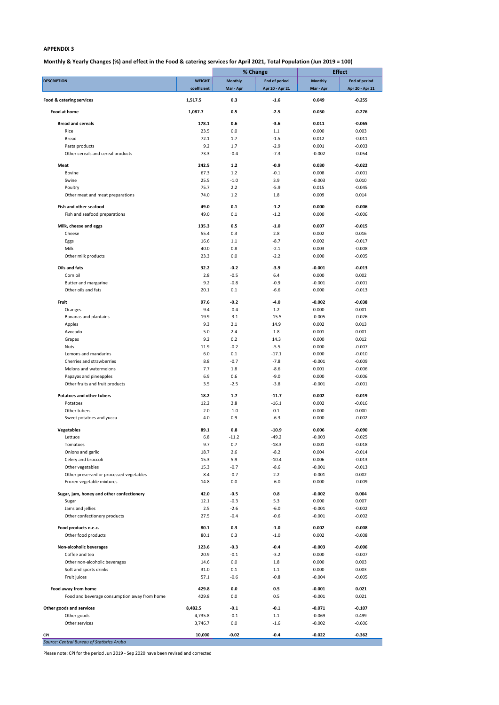## **Monthly & Yearly Changes (%) and effect in the Food & catering services for April 2021, Total Population (Jun 2019 = 100)**

|                                              |               |                | % Change             |           | <b>Effect</b>        |  |
|----------------------------------------------|---------------|----------------|----------------------|-----------|----------------------|--|
| <b>DESCRIPTION</b>                           | <b>WEIGHT</b> | <b>Monthly</b> | <b>End of period</b> | Monthly   | <b>End of period</b> |  |
|                                              | coefficient   | Mar - Apr      | Apr 20 - Apr 21      | Mar - Apr | Apr 20 - Apr 21      |  |
| Food & catering services                     | 1,517.5       | 0.3            | $-1.6$               | 0.049     | $-0.255$             |  |
|                                              |               |                |                      |           |                      |  |
| Food at home                                 | 1,087.7       | 0.5            | $-2.5$               | 0.050     | $-0.276$             |  |
| <b>Bread and cereals</b>                     | 178.1         | 0.6            | $-3.6$               | 0.011     | $-0.065$             |  |
|                                              |               | 0.0            |                      |           | 0.003                |  |
| Rice<br><b>Bread</b>                         | 23.5<br>72.1  |                | 1.1<br>$-1.5$        | 0.000     |                      |  |
|                                              |               | 1.7            |                      | 0.012     | $-0.011$             |  |
| Pasta products                               | 9.2<br>73.3   | 1.7            | $-2.9$               | 0.001     | $-0.003$<br>$-0.054$ |  |
| Other cereals and cereal products            |               | $-0.4$         | $-7.3$               | $-0.002$  |                      |  |
| Meat                                         | 242.5         | $1.2$          | $-0.9$               | 0.030     | $-0.022$             |  |
| <b>Bovine</b>                                | 67.3          | 1.2            | $-0.1$               | 0.008     | $-0.001$             |  |
| Swine                                        | 25.5          | $-1.0$         | 3.9                  | $-0.003$  | 0.010                |  |
| Poultry                                      | 75.7          | 2.2            | $-5.9$               | 0.015     | $-0.045$             |  |
| Other meat and meat preparations             | 74.0          | 1.2            | 1.8                  | 0.009     | 0.014                |  |
|                                              |               |                |                      |           |                      |  |
| Fish and other seafood                       | 49.0          | 0.1            | $-1.2$               | 0.000     | $-0.006$             |  |
| Fish and seafood preparations                | 49.0          | 0.1            | $-1.2$               | 0.000     | $-0.006$             |  |
| Milk, cheese and eggs                        | 135.3         | 0.5            | $-1.0$               | 0.007     | $-0.015$             |  |
| Cheese                                       | 55.4          | 0.3            | 2.8                  | 0.002     | 0.016                |  |
| Eggs                                         | 16.6          | 1.1            | $-8.7$               | 0.002     | $-0.017$             |  |
| Milk                                         | 40.0          | 0.8            | $-2.1$               | 0.003     | $-0.008$             |  |
|                                              |               | 0.0            |                      |           |                      |  |
| Other milk products                          | 23.3          |                | $-2.2$               | 0.000     | $-0.005$             |  |
| Oils and fats                                | 32.2          | $-0.2$         | $-3.9$               | $-0.001$  | $-0.013$             |  |
| Corn oil                                     | 2.8           | $-0.5$         | 6.4                  | 0.000     | 0.002                |  |
| Butter and margarine                         | 9.2           | $-0.8$         | $-0.9$               | $-0.001$  | $-0.001$             |  |
| Other oils and fats                          | 20.1          | 0.1            | $-6.6$               | 0.000     | $-0.013$             |  |
|                                              |               |                |                      |           |                      |  |
| Fruit                                        | 97.6          | $-0.2$         | $-4.0$               | $-0.002$  | $-0.038$             |  |
| Oranges                                      | 9.4           | $-0.4$         | 1.2                  | 0.000     | 0.001                |  |
| Bananas and plantains                        | 19.9          | $-3.1$         | $-15.5$              | $-0.005$  | $-0.026$             |  |
| Apples                                       | 9.3           | 2.1            | 14.9                 | 0.002     | 0.013                |  |
| Avocado                                      | 5.0           | 2.4            | 1.8                  | 0.001     | 0.001                |  |
| Grapes                                       | 9.2           | 0.2            | 14.3                 | 0.000     | 0.012                |  |
| <b>Nuts</b>                                  | 11.9          | $-0.2$         | $-5.5$               | 0.000     | $-0.007$             |  |
| Lemons and mandarins                         | 6.0           | 0.1            | $-17.1$              | 0.000     | $-0.010$             |  |
| Cherries and strawberries                    | 8.8           | $-0.7$         | $-7.8$               | $-0.001$  | $-0.009$             |  |
| Melons and watermelons                       | 7.7           | 1.8            | $-8.6$               | 0.001     | $-0.006$             |  |
| Papayas and pineapples                       | 6.9           | 0.6            | $-9.0$               | 0.000     | $-0.006$             |  |
| Other fruits and fruit products              | 3.5           | $-2.5$         | $-3.8$               |           | $-0.001$             |  |
|                                              |               |                |                      | $-0.001$  |                      |  |
| <b>Potatoes and other tubers</b>             | 18.2          | $1.7$          | $-11.7$              | 0.002     | $-0.019$             |  |
| Potatoes                                     | 12.2          | 2.8            | $-16.1$              | 0.002     | $-0.016$             |  |
| Other tubers                                 | 2.0           | $-1.0$         | 0.1                  | 0.000     | 0.000                |  |
| Sweet potatoes and yucca                     | 4.0           | 0.9            | $-6.3$               | 0.000     | $-0.002$             |  |
|                                              |               |                |                      |           |                      |  |
| Vegetables                                   | 89.1          | 0.8            | $-10.9$              | 0.006     | $-0.090$             |  |
| Lettuce                                      | 6.8           | $-11.2$        | $-49.2$              | $-0.003$  | $-0.025$             |  |
| Tomatoes                                     | 9.7           | 0.7            | $-18.3$              | 0.001     | $-0.018$             |  |
| Onions and garlic                            | 18.7          | 2.6            | $-8.2$               | 0.004     | $-0.014$             |  |
| Celery and broccoli                          | 15.3          | 5.9            | $-10.4$              | 0.006     | $-0.013$             |  |
| Other vegetables                             | 15.3          | $-0.7$         | $-8.6$               | $-0.001$  | $-0.013$             |  |
| Other preserved or processed vegetables      | 8.4           | $-0.7$         | 2.2                  | $-0.001$  | 0.002                |  |
| Frozen vegetable mixtures                    | 14.8          | 0.0            | $-6.0$               | 0.000     | $-0.009$             |  |
|                                              |               |                |                      |           |                      |  |
| Sugar, jam, honey and other confectionery    | 42.0          | $-0.5$         | 0.8                  | $-0.002$  | 0.004                |  |
| Sugar                                        | 12.1          | $-0.3$         | 5.3                  | 0.000     | 0.007                |  |
| Jams and jellies                             | 2.5           | $-2.6$         | $-6.0$               | $-0.001$  | $-0.002$             |  |
| Other confectionery products                 | 27.5          | $-0.4$         | $-0.6$               | $-0.001$  | $-0.002$             |  |
| Food products n.e.c.                         | 80.1          | 0.3            | $-1.0$               | 0.002     | $-0.008$             |  |
| Other food products                          | 80.1          | 0.3            | $-1.0$               | 0.002     | $-0.008$             |  |
|                                              |               |                |                      |           |                      |  |
| Non-alcoholic beverages                      | 123.6         | $-0.3$         | $-0.4$               | $-0.003$  | $-0.006$             |  |
| Coffee and tea                               | 20.9          | $-0.1$         | $-3.2$               | 0.000     | $-0.007$             |  |
| Other non-alcoholic beverages                | 14.6          | 0.0            | 1.8                  | 0.000     | 0.003                |  |
| Soft and sports drinks                       | 31.0          | 0.1            | 1.1                  | 0.000     | 0.003                |  |
| Fruit juices                                 | 57.1          | $-0.6$         | $-0.8$               | $-0.004$  | $-0.005$             |  |
|                                              |               |                |                      |           |                      |  |
| Food away from home                          | 429.8         | 0.0            | 0.5                  | $-0.001$  | 0.021                |  |
| Food and beverage consumption away from home | 429.8         | 0.0            | 0.5                  | $-0.001$  | 0.021                |  |
| Other goods and services                     | 8,482.5       | $-0.1$         | $-0.1$               | $-0.071$  | $-0.107$             |  |
| Other goods                                  | 4,735.8       | $-0.1$         | 1.1                  | $-0.069$  | 0.499                |  |
|                                              |               |                |                      |           | $-0.606$             |  |
| Other services                               | 3,746.7       | $0.0\,$        | $-1.6$               | $-0.002$  |                      |  |
| CPI                                          | 10,000        | $-0.02$        | $-0.4$               | $-0.022$  | $-0.362$             |  |
| Source: Central Bureau of Statistics Aruba   |               |                |                      |           |                      |  |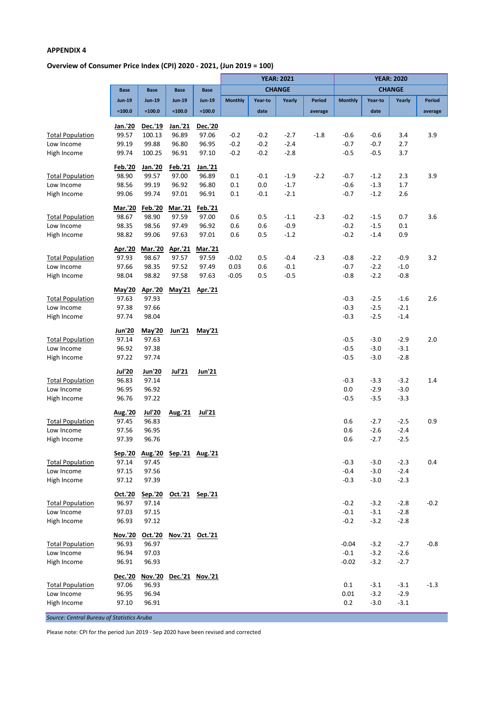# **Overview of Consumer Price Index (CPI) 2020 - 2021, (Jun 2019 = 100)**

|                                       |                         |                   |                  |                         |                |         | <b>YEAR: 2021</b> |               | <b>YEAR: 2020</b> |                  |                  |               |
|---------------------------------------|-------------------------|-------------------|------------------|-------------------------|----------------|---------|-------------------|---------------|-------------------|------------------|------------------|---------------|
|                                       | <b>Base</b>             | <b>Base</b>       | <b>Base</b>      | <b>Base</b>             |                |         | <b>CHANGE</b>     |               |                   |                  | <b>CHANGE</b>    |               |
|                                       | <b>Jun-19</b>           | <b>Jun-19</b>     | <b>Jun-19</b>    | <b>Jun-19</b>           | <b>Monthly</b> | Year-to | Yearly            | <b>Period</b> | <b>Monthly</b>    | Year-to          | Yearly           | <b>Period</b> |
|                                       | $=100.0$                | $=100.0$          | $=100.0$         | $=100.0$                |                | date    |                   | average       |                   | date             |                  | average       |
|                                       |                         |                   |                  |                         |                |         |                   |               |                   |                  |                  |               |
| <b>Total Population</b>               | Jan.'20<br>99.57        | Dec.'19<br>100.13 | Jan.'21<br>96.89 | <b>Dec.'20</b><br>97.06 | $-0.2$         | $-0.2$  | $-2.7$            | $-1.8$        | $-0.6$            | -0.6             | 3.4              | 3.9           |
| Low Income                            | 99.19                   | 99.88             | 96.80            | 96.95                   | $-0.2$         | $-0.2$  | $-2.4$            |               | $-0.7$            | $-0.7$           | 2.7              |               |
| High Income                           | 99.74                   | 100.25            | 96.91            | 97.10                   | $-0.2$         | $-0.2$  | $-2.8$            |               | $-0.5$            | $-0.5$           | 3.7              |               |
|                                       |                         |                   |                  |                         |                |         |                   |               |                   |                  |                  |               |
|                                       | <b>Feb.'20</b>          | Jan.'20           | Feb.'21          | Jan.'21                 |                |         |                   |               |                   |                  |                  |               |
| <b>Total Population</b>               | 98.90                   | 99.57             | 97.00            | 96.89                   | 0.1            | $-0.1$  | $-1.9$            | $-2.2$        | $-0.7$            | $-1.2$           | 2.3              | 3.9           |
| Low Income                            | 98.56                   | 99.19             | 96.92            | 96.80                   | 0.1            | 0.0     | $-1.7$            |               | $-0.6$            | $-1.3$           | 1.7              |               |
| High Income                           | 99.06                   | 99.74             | 97.01            | 96.91                   | 0.1            | $-0.1$  | $-2.1$            |               | $-0.7$            | $-1.2$           | 2.6              |               |
|                                       | Mar.'20                 | Feb.'20           | Mar.'21          | Feb.'21                 |                |         |                   |               |                   |                  |                  |               |
| <b>Total Population</b>               | 98.67                   | 98.90             | 97.59            | 97.00                   | 0.6            | 0.5     | $-1.1$            | $-2.3$        | $-0.2$            | $-1.5$           | 0.7              | 3.6           |
| Low Income                            | 98.35                   | 98.56             | 97.49            | 96.92                   | 0.6            | 0.6     | $-0.9$            |               | $-0.2$            | $-1.5$           | 0.1              |               |
| High Income                           | 98.82                   | 99.06             | 97.63            | 97.01                   | 0.6            | 0.5     | $-1.2$            |               | $-0.2$            | $-1.4$           | 0.9              |               |
|                                       | Apr.'20                 | Mar.'20           | Apr.'21          | <b>Mar.'21</b>          |                |         |                   |               |                   |                  |                  |               |
| <b>Total Population</b>               | 97.93                   | 98.67             | 97.57            | 97.59                   | $-0.02$        | 0.5     | $-0.4$            | $-2.3$        | $-0.8$            | $-2.2$           | $-0.9$           | 3.2           |
| Low Income                            | 97.66                   | 98.35             | 97.52            | 97.49                   | 0.03           | 0.6     | -0.1              |               | $-0.7$            | $-2.2$           | $-1.0$           |               |
| High Income                           | 98.04                   | 98.82             | 97.58            | 97.63                   | $-0.05$        | 0.5     | $-0.5$            |               | $-0.8$            | $-2.2$           | $-0.8$           |               |
|                                       |                         |                   |                  |                         |                |         |                   |               |                   |                  |                  |               |
|                                       | May'20                  | Apr.'20           | May'21           | Apr.'21                 |                |         |                   |               |                   |                  |                  |               |
| <b>Total Population</b><br>Low Income | 97.63                   | 97.93<br>97.66    |                  |                         |                |         |                   |               | $-0.3$<br>$-0.3$  | $-2.5$           | $-1.6$<br>$-2.1$ | 2.6           |
| High Income                           | 97.38<br>97.74          | 98.04             |                  |                         |                |         |                   |               | $-0.3$            | $-2.5$<br>$-2.5$ | $-1.4$           |               |
|                                       |                         |                   |                  |                         |                |         |                   |               |                   |                  |                  |               |
|                                       | Jun'20                  | May'20            | <u>Jun'21</u>    | May'21                  |                |         |                   |               |                   |                  |                  |               |
| <b>Total Population</b>               | 97.14                   | 97.63             |                  |                         |                |         |                   |               | $-0.5$            | $-3.0$           | $-2.9$           | 2.0           |
| Low Income                            | 96.92                   | 97.38             |                  |                         |                |         |                   |               | $-0.5$            | $-3.0$           | $-3.1$           |               |
| High Income                           | 97.22                   | 97.74             |                  |                         |                |         |                   |               | $-0.5$            | $-3.0$           | $-2.8$           |               |
|                                       | <b>Jul'20</b>           | <b>Jun'20</b>     | Jul'21           | Jun'21                  |                |         |                   |               |                   |                  |                  |               |
| <b>Total Population</b>               | 96.83                   | 97.14             |                  |                         |                |         |                   |               | $-0.3$            | $-3.3$           | $-3.2$           | 1.4           |
| Low Income                            | 96.95                   | 96.92             |                  |                         |                |         |                   |               | 0.0               | $-2.9$           | $-3.0$           |               |
| High Income                           | 96.76                   | 97.22             |                  |                         |                |         |                   |               | $-0.5$            | $-3.5$           | $-3.3$           |               |
|                                       | Aug.'20                 | <b>Jul'20</b>     | Aug.'21          | <b>Jul'21</b>           |                |         |                   |               |                   |                  |                  |               |
| <b>Total Population</b>               | 97.45                   | 96.83             |                  |                         |                |         |                   |               | 0.6               | $-2.7$           | $-2.5$           | 0.9           |
| Low Income                            | 97.56                   | 96.95             |                  |                         |                |         |                   |               | 0.6               | $-2.6$           | $-2.4$           |               |
| High Income                           | 97.39                   | 96.76             |                  |                         |                |         |                   |               | 0.6               | $-2.7$           | $-2.5$           |               |
|                                       |                         |                   |                  |                         |                |         |                   |               |                   |                  |                  |               |
| <b>Total Population</b>               | <u>Sep.'20</u><br>97.14 | Aug.'20<br>97.45  | Sep.'21 Aug.'21  |                         |                |         |                   |               | $-0.3$            | $-3.0$           | $-2.3$           | 0.4           |
| Low Income                            | 97.15                   | 97.56             |                  |                         |                |         |                   |               | $-0.4$            | $-3.0$           | $-2.4$           |               |
| High Income                           | 97.12                   | 97.39             |                  |                         |                |         |                   |               | $-0.3$            | $-3.0$           | $-2.3$           |               |
|                                       |                         |                   |                  |                         |                |         |                   |               |                   |                  |                  |               |
|                                       | Oct.'20                 | Sep.'20           | Oct.'21 Sep.'21  |                         |                |         |                   |               |                   |                  |                  |               |
| <b>Total Population</b>               | 96.97                   | 97.14             |                  |                         |                |         |                   |               | $-0.2$            | $-3.2$           | $-2.8$           | $-0.2$        |
| Low Income                            | 97.03                   | 97.15             |                  |                         |                |         |                   |               | $-0.1$            | $-3.1$           | $-2.8$           |               |
| High Income                           | 96.93                   | 97.12             |                  |                         |                |         |                   |               | $-0.2$            | $-3.2$           | $-2.8$           |               |
|                                       | Nov.'20                 | Oct.'20           | Nov.'21 Oct.'21  |                         |                |         |                   |               |                   |                  |                  |               |
| <b>Total Population</b>               | 96.93                   | 96.97             |                  |                         |                |         |                   |               | $-0.04$           | $-3.2$           | $-2.7$           | $-0.8$        |
| Low Income                            | 96.94                   | 97.03             |                  |                         |                |         |                   |               | $-0.1$            | $-3.2$           | $-2.6$           |               |
| High Income                           | 96.91                   | 96.93             |                  |                         |                |         |                   |               | $-0.02$           | $-3.2$           | $-2.7$           |               |
|                                       | Dec.'20                 | Nov.'20           |                  | Dec.'21 Nov.'21         |                |         |                   |               |                   |                  |                  |               |
| <b>Total Population</b>               | 97.06                   | 96.93             |                  |                         |                |         |                   |               | 0.1               | $-3.1$           | $-3.1$           | $-1.3$        |
| Low Income                            | 96.95                   | 96.94             |                  |                         |                |         |                   |               | 0.01              | $-3.2$           | $-2.9$           |               |
| High Income                           | 97.10                   | 96.91             |                  |                         |                |         |                   |               | 0.2               | $-3.0$           | $-3.1$           |               |
|                                       |                         |                   |                  |                         |                |         |                   |               |                   |                  |                  |               |

*Source: Central Bureau of Statistics Aruba*